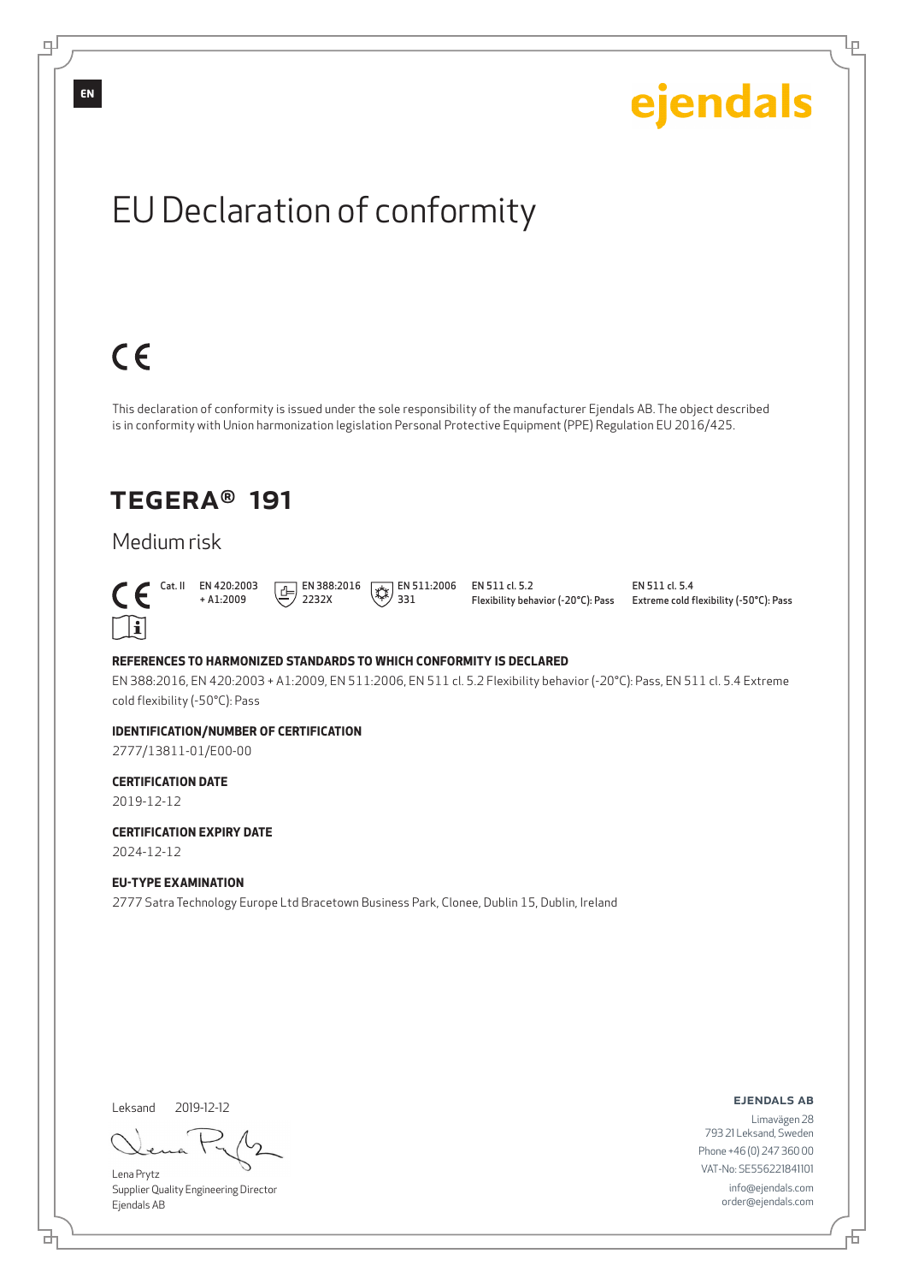

## Extreme cold flexibility (-50°C): Pass

ejendals

#### **REFERENCES TO HARMONIZED STANDARDS TO WHICH CONFORMITY IS DECLARED**

EN 388:2016, EN 420:2003 + A1:2009, EN 511:2006, EN 511 cl. 5.2 Flexibility behavior (-20°C): Pass, EN 511 cl. 5.4 Extreme cold flexibility (-50°C): Pass

#### **IDENTIFICATION/NUMBER OF CERTIFICATION**

2777/13811-01/E00-00

#### **CERTIFICATION DATE**

2019-12-12

 $\ulcorner$   $\mathbf{ii}$ 

 $C \in$ 

**CERTIFICATION EXPIRY DATE** 2024-12-12

#### **EU-TYPE EXAMINATION**

2777 Satra Technology Europe Ltd Bracetown Business Park, Clonee, Dublin 15, Dublin, Ireland

Leksand 2019-12-12

브

Lena Prytz Supplier Quality Engineering Director Ejendals AB

ejendals ab

Limavägen 28 793 21 Leksand, Sweden Phone +46 (0) 247 360 00 VAT-No: SE556221841101 info@ejendals.com order@ejendals.com

டி

Đ

Ļμ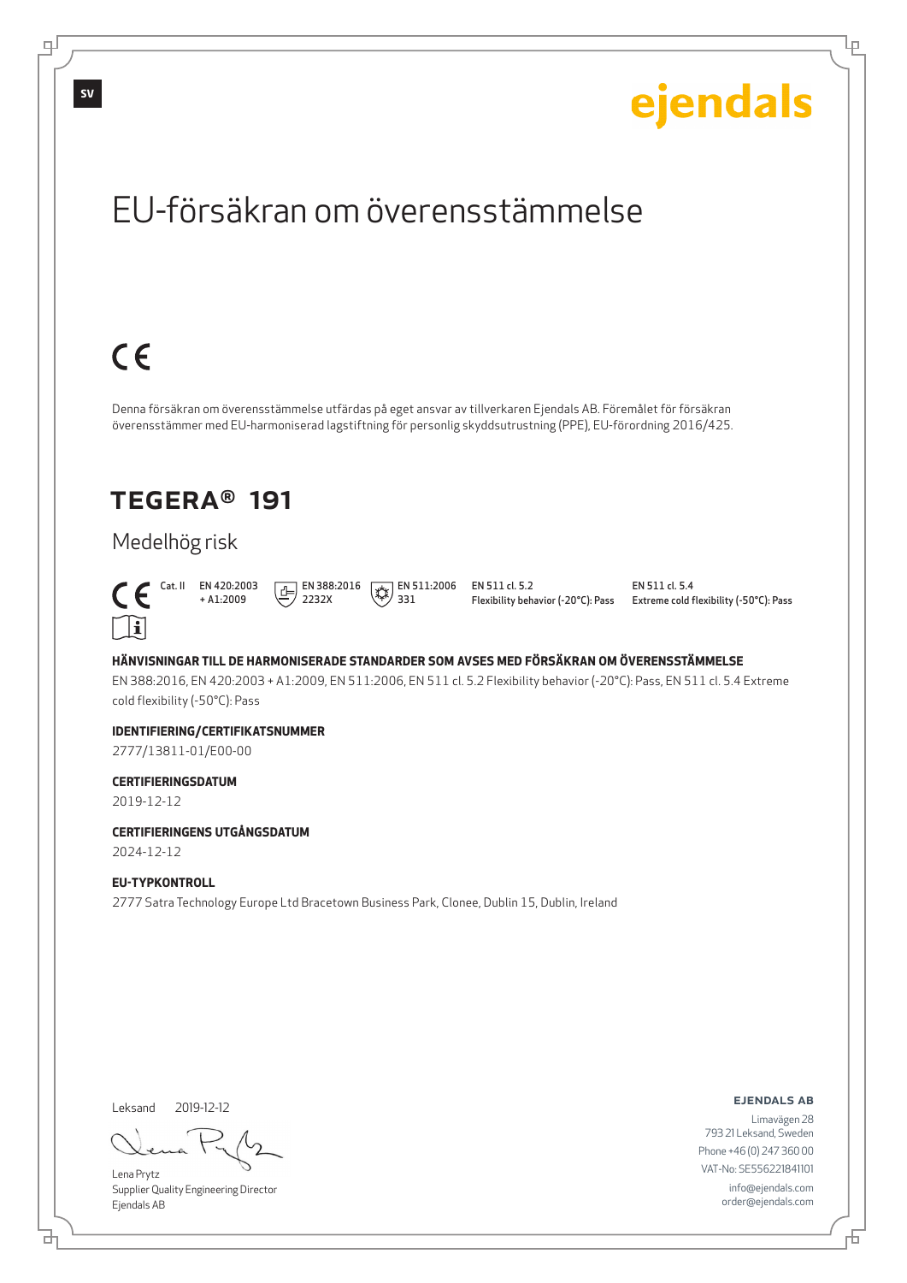Ļμ

# EU-försäkran om överensstämmelse

# $C \in$

Denna försäkran om överensstämmelse utfärdas på eget ansvar av tillverkaren Ejendals AB. Föremålet för försäkran överensstämmer med EU-harmoniserad lagstiftning för personlig skyddsutrustning (PPE), EU-förordning 2016/425.

## TEGERA® 191

## Medelhög risk



+ A1:2009  $\boxed{E}$  EN 388:2016 2232X

 $\left(\frac{1}{2}\right)$  EN 511:2006 331

EN 511 cl. 5.2 Flexibility behavior (-20°C): Pass EN 511 cl. 5.4 Extreme cold flexibility (-50°C): Pass

#### **HÄNVISNINGAR TILL DE HARMONISERADE STANDARDER SOM AVSES MED FÖRSÄKRAN OM ÖVERENSSTÄMMELSE**

EN 388:2016, EN 420:2003 + A1:2009, EN 511:2006, EN 511 cl. 5.2 Flexibility behavior (-20°C): Pass, EN 511 cl. 5.4 Extreme cold flexibility (-50°C): Pass

#### **IDENTIFIERING/CERTIFIKATSNUMMER**

2777/13811-01/E00-00

#### **CERTIFIERINGSDATUM**

2019-12-12

## **CERTIFIERINGENS UTGÅNGSDATUM**

2024-12-12

#### **EU-TYPKONTROLL**

2777 Satra Technology Europe Ltd Bracetown Business Park, Clonee, Dublin 15, Dublin, Ireland

Leksand 2019-12-12

브

Lena Prytz Supplier Quality Engineering Director Ejendals AB

#### ejendals ab

Đ

Limavägen 28 793 21 Leksand, Sweden Phone +46 (0) 247 360 00 VAT-No: SE556221841101 info@ejendals.com order@ejendals.com

டி

**SV**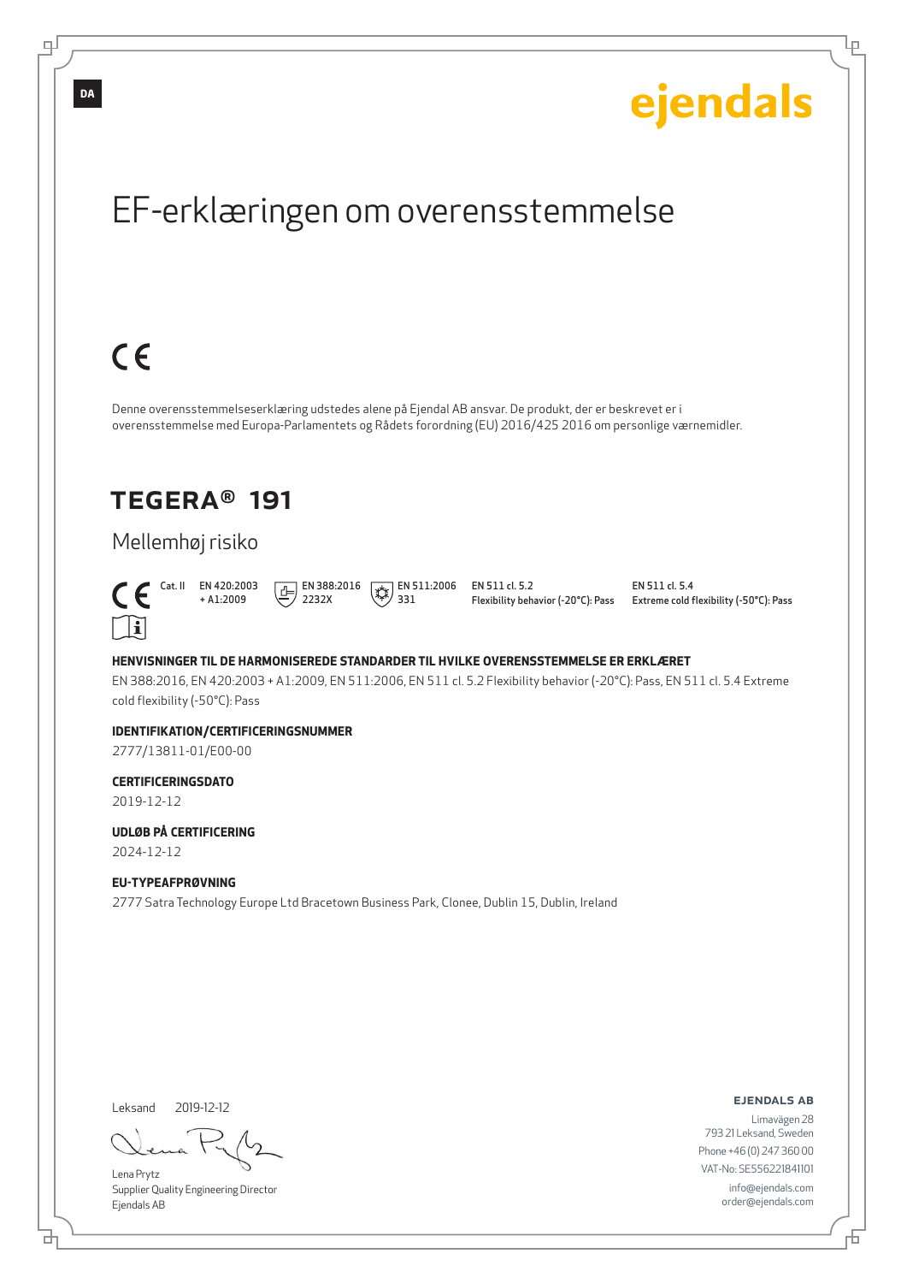

EN 388:2016, EN 420:2003 + A1:2009, EN 511:2006, EN 511 cl. 5.2 Flexibility behavior (-20°C): Pass, EN 511 cl. 5.4 Extreme cold flexibility (-50°C): Pass

#### **IDENTIFIKATION/CERTIFICERINGSNUMMER**

2777/13811-01/E00-00

#### **CERTIFICERINGSDATO**

2019-12-12

**UDLØB PÅ CERTIFICERING** 2024-12-12

#### **EU-TYPEAFPRØVNING**

2777 Satra Technology Europe Ltd Bracetown Business Park, Clonee, Dublin 15, Dublin, Ireland

Leksand 2019-12-12

브

Lena Prytz Supplier Quality Engineering Director Ejendals AB

ejendals ab

Đ

Ļμ

Limavägen 28 793 21 Leksand, Sweden Phone +46 (0) 247 360 00 VAT-No: SE556221841101 info@ejendals.com order@ejendals.com

டி

**DA**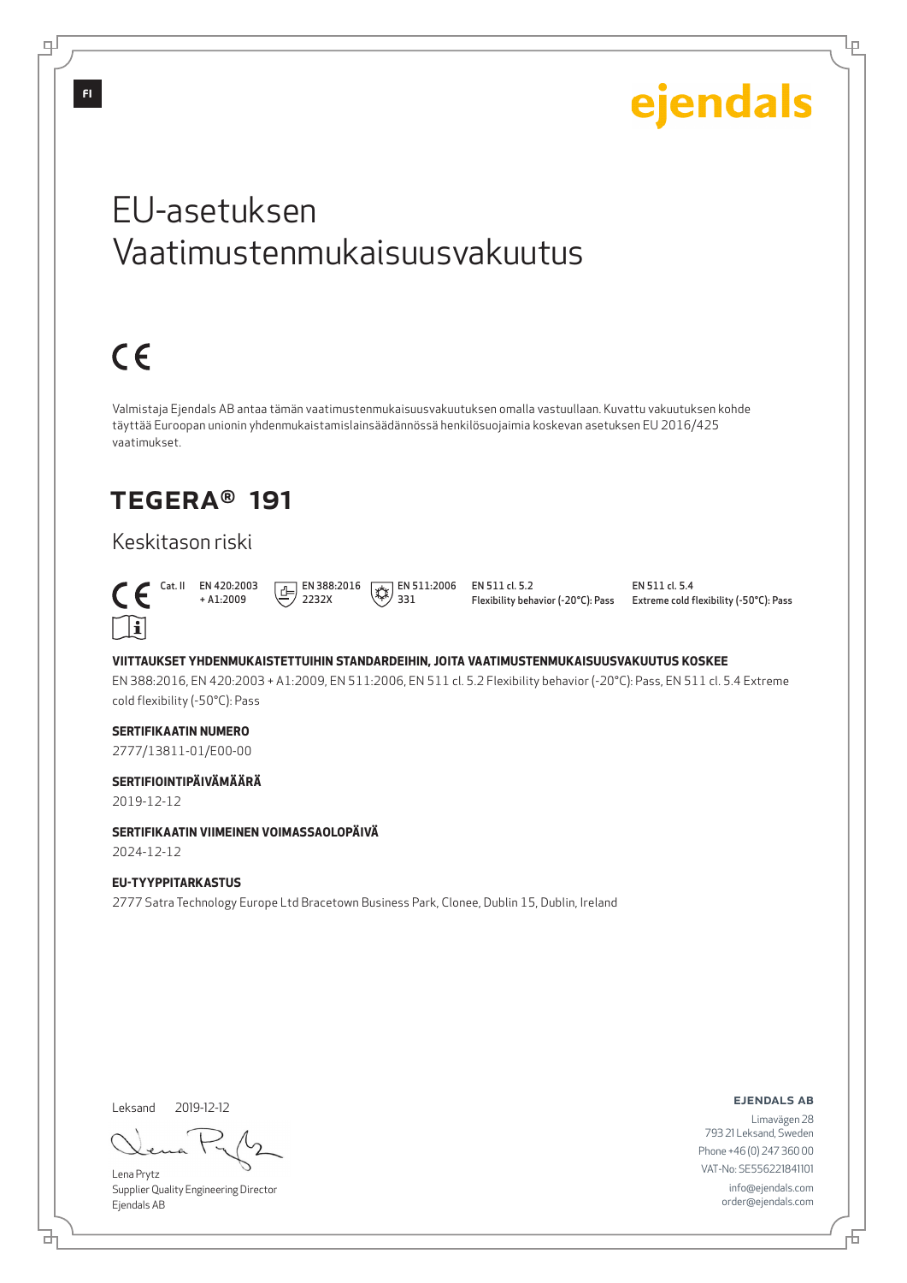Lр

# EU-asetuksen Vaatimustenmukaisuusvakuutus

# $C \in$

Valmistaja Ejendals AB antaa tämän vaatimustenmukaisuusvakuutuksen omalla vastuullaan. Kuvattu vakuutuksen kohde täyttää Euroopan unionin yhdenmukaistamislainsäädännössä henkilösuojaimia koskevan asetuksen EU 2016/425 vaatimukset.

## TEGERA® 191

## Keskitason riski



+ A1:2009  $\boxed{1}$  EN 388:2016 2232X

 $\left(\begin{matrix} 1 & 1 \\ 1 & 2 \\ 2 & 3 \end{matrix}\right)$  = 511:2006 331

EN 511 cl. 5.2 Flexibility behavior (-20°C): Pass EN 511 cl. 5.4 Extreme cold flexibility (-50°C): Pass

#### **VIITTAUKSET YHDENMUKAISTETTUIHIN STANDARDEIHIN, JOITA VAATIMUSTENMUKAISUUSVAKUUTUS KOSKEE**

EN 388:2016, EN 420:2003 + A1:2009, EN 511:2006, EN 511 cl. 5.2 Flexibility behavior (-20°C): Pass, EN 511 cl. 5.4 Extreme cold flexibility (-50°C): Pass

#### **SERTIFIKAATIN NUMERO**

2777/13811-01/E00-00

#### **SERTIFIOINTIPÄIVÄMÄÄRÄ**

2019-12-12

## **SERTIFIKAATIN VIIMEINEN VOIMASSAOLOPÄIVÄ**

2024-12-12

#### **EU-TYYPPITARKASTUS**

2777 Satra Technology Europe Ltd Bracetown Business Park, Clonee, Dublin 15, Dublin, Ireland

Leksand 2019-12-12

브

Lena Prytz Supplier Quality Engineering Director Ejendals AB

#### ejendals ab

Đ

Limavägen 28 793 21 Leksand, Sweden Phone +46 (0) 247 360 00 VAT-No: SE556221841101 info@ejendals.com order@ejendals.com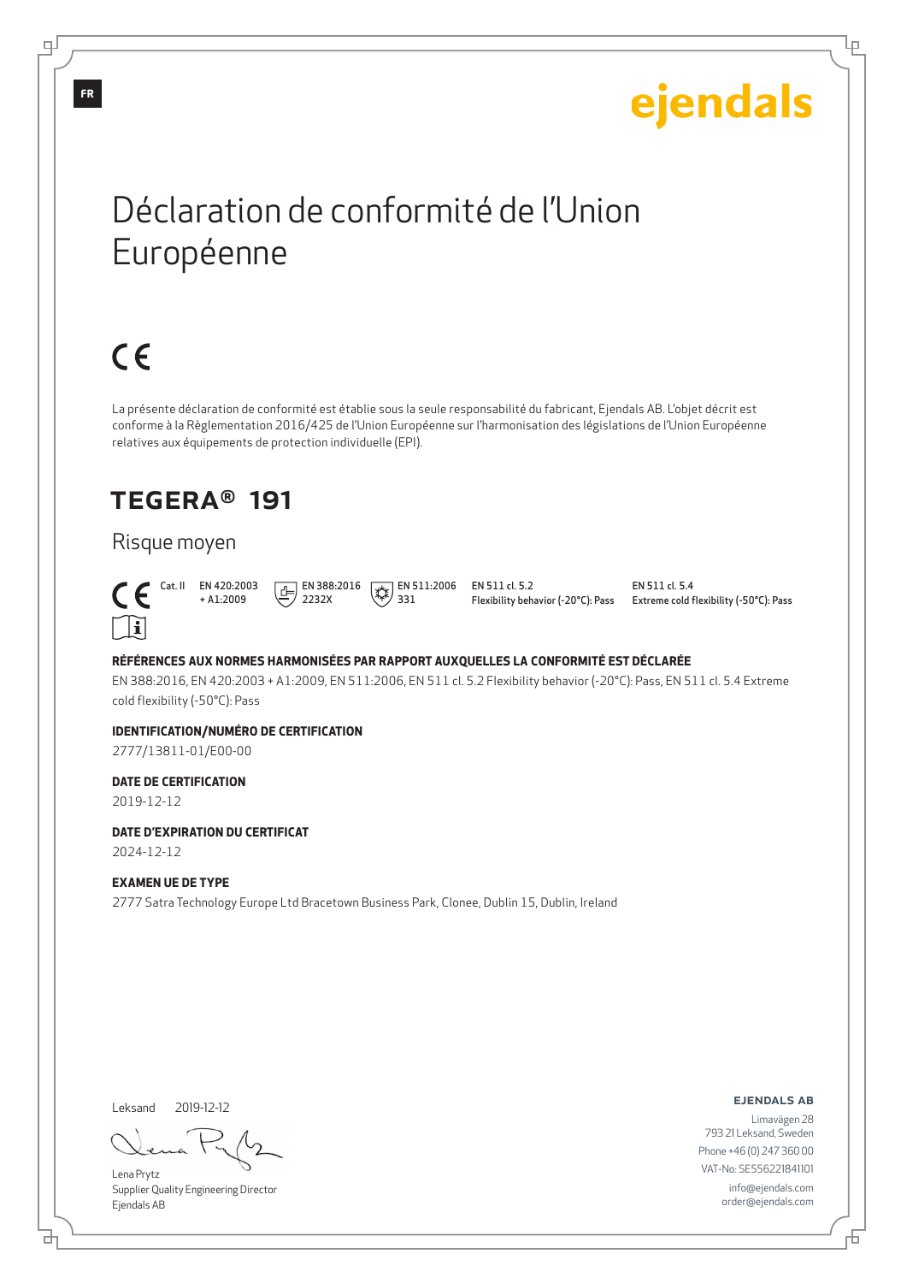Ļμ

# Déclaration de conformité de l'Union Européenne

# $C \in$

La présente déclaration de conformité est établie sous la seule responsabilité du fabricant, Ejendals AB. L'objet décrit est conforme à la Règlementation 2016/425 de l'Union Européenne sur l'harmonisation des législations de l'Union Européenne relatives aux équipements de protection individuelle (EPI).

## TEGERA® 191

## Risque moyen



 Cat. II EN 420:2003 + A1:2009  $\boxed{E}$  EN 388:2016 2232X

#### $\left(\frac{1}{2}k\right)$  EN 511:2006 331

EN 511 cl. 5.2 Flexibility behavior (-20°C): Pass EN 511 cl. 5.4 Extreme cold flexibility (-50°C): Pass

#### **RÉFÉRENCES AUX NORMES HARMONISÉES PAR RAPPORT AUXQUELLES LA CONFORMITÉ EST DÉCLARÉE**

EN 388:2016, EN 420:2003 + A1:2009, EN 511:2006, EN 511 cl. 5.2 Flexibility behavior (-20°C): Pass, EN 511 cl. 5.4 Extreme cold flexibility (-50°C): Pass

#### **IDENTIFICATION/NUMÉRO DE CERTIFICATION**

2777/13811-01/E00-00

#### **DATE DE CERTIFICATION**

2019-12-12

## **DATE D'EXPIRATION DU CERTIFICAT**

2024-12-12

#### **EXAMEN UE DE TYPE**

2777 Satra Technology Europe Ltd Bracetown Business Park, Clonee, Dublin 15, Dublin, Ireland

Leksand 2019-12-12

Lena Prytz Supplier Quality Engineering Director Ejendals AB

ejendals ab

Đ

Limavägen 28 793 21 Leksand, Sweden Phone +46 (0) 247 360 00 VAT-No: SE556221841101 info@ejendals.com order@ejendals.com

டி

브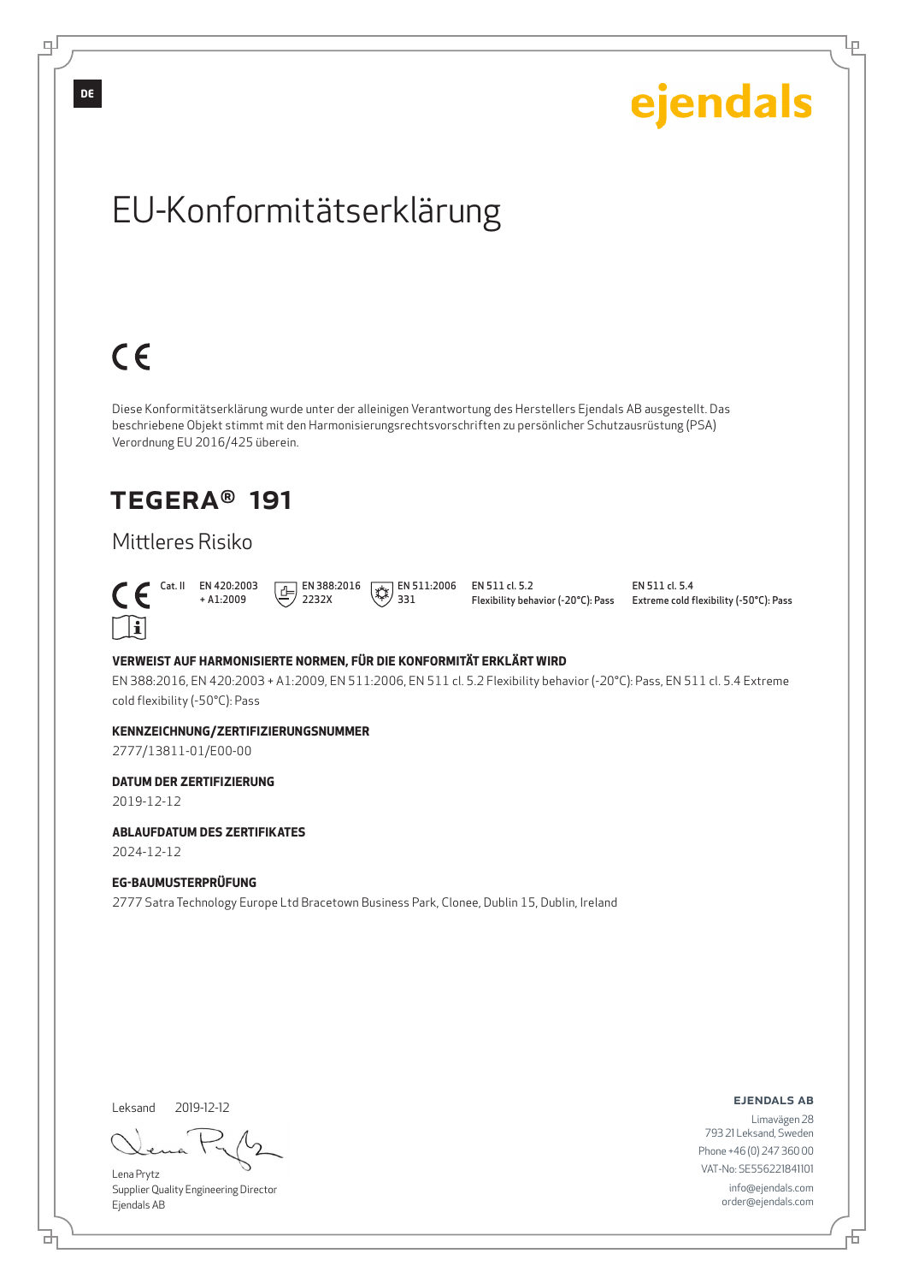

2777/13811-01/E00-00

#### **DATUM DER ZERTIFIZIERUNG**

2019-12-12

#### **ABLAUFDATUM DES ZERTIFIKATES**

2024-12-12

#### **EG-BAUMUSTERPRÜFUNG**

2777 Satra Technology Europe Ltd Bracetown Business Park, Clonee, Dublin 15, Dublin, Ireland

Leksand 2019-12-12

브

Lena Prytz Supplier Quality Engineering Director Ejendals AB

ejendals ab

Limavägen 28 793 21 Leksand, Sweden Phone +46 (0) 247 360 00 VAT-No: SE556221841101 info@ejendals.com order@ejendals.com

**DE**

டி

# ejendals

Ļμ

Đ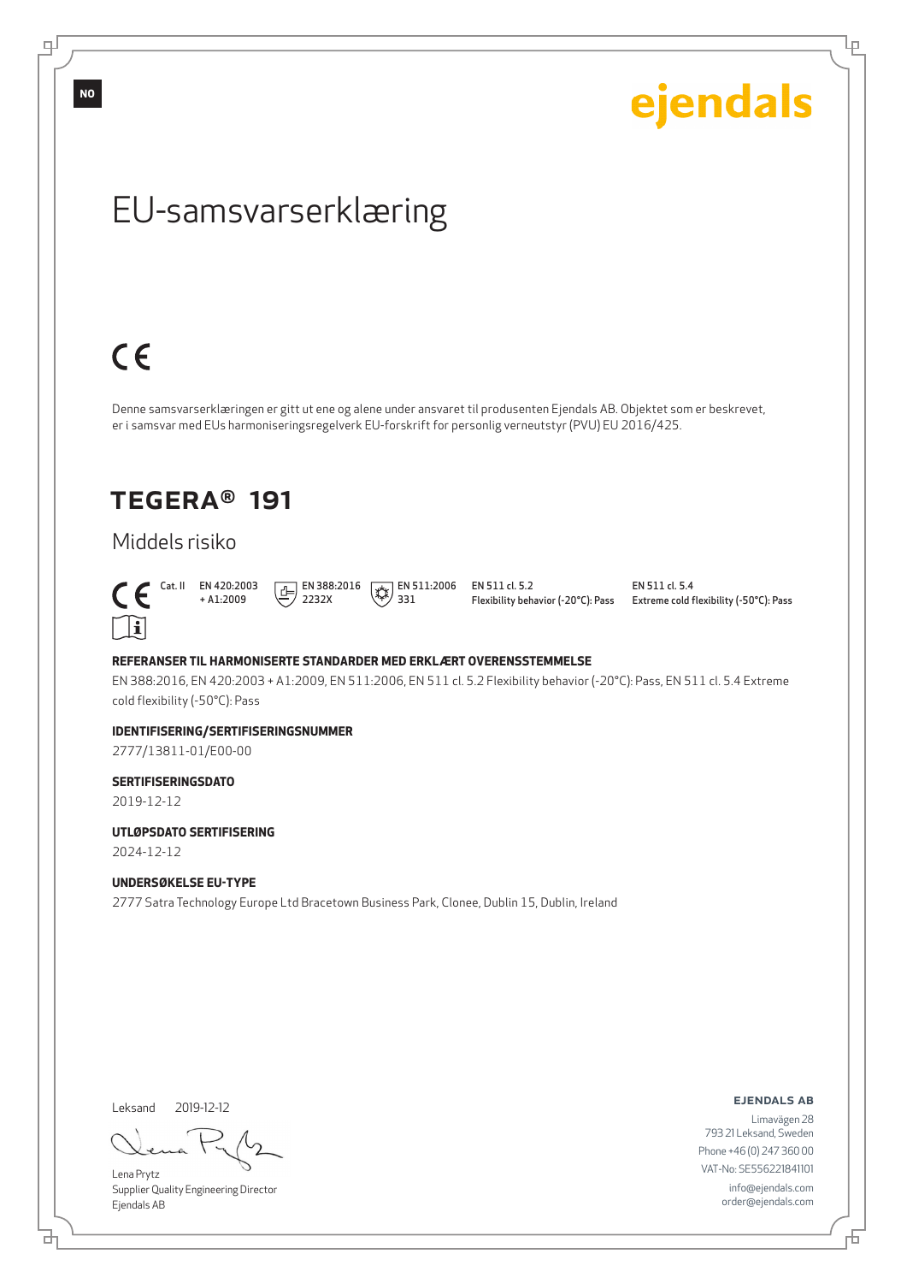டி

**NO**

ejendals

Ļμ

# EU-samsvarserklæring

# $C \in$

Denne samsvarserklæringen er gitt ut ene og alene under ansvaret til produsenten Ejendals AB. Objektet som er beskrevet, er i samsvar med EUs harmoniseringsregelverk EU-forskrift for personlig verneutstyr (PVU) EU 2016/425.

## TEGERA® 191

## Middels risiko



+ A1:2009  $\boxed{E}$  EN 388:2016 2232X

 $\left(\begin{matrix} 1 & 1 \\ 1 & 2 \\ 2 & 3 \end{matrix}\right)$  = 511:2006 331

EN 511 cl. 5.2 Flexibility behavior (-20°C): Pass EN 511 cl. 5.4 Extreme cold flexibility (-50°C): Pass

#### **REFERANSER TIL HARMONISERTE STANDARDER MED ERKLÆRT OVERENSSTEMMELSE**

EN 388:2016, EN 420:2003 + A1:2009, EN 511:2006, EN 511 cl. 5.2 Flexibility behavior (-20°C): Pass, EN 511 cl. 5.4 Extreme cold flexibility (-50°C): Pass

#### **IDENTIFISERING/SERTIFISERINGSNUMMER**

2777/13811-01/E00-00

#### **SERTIFISERINGSDATO**

2019-12-12

#### **UTLØPSDATO SERTIFISERING**

2024-12-12

#### **UNDERSØKELSE EU-TYPE**

2777 Satra Technology Europe Ltd Bracetown Business Park, Clonee, Dublin 15, Dublin, Ireland

Leksand 2019-12-12

브

Lena Prytz Supplier Quality Engineering Director Ejendals AB

ejendals ab

Limavägen 28 793 21 Leksand, Sweden Phone +46 (0) 247 360 00 VAT-No: SE556221841101 info@ejendals.com order@ejendals.com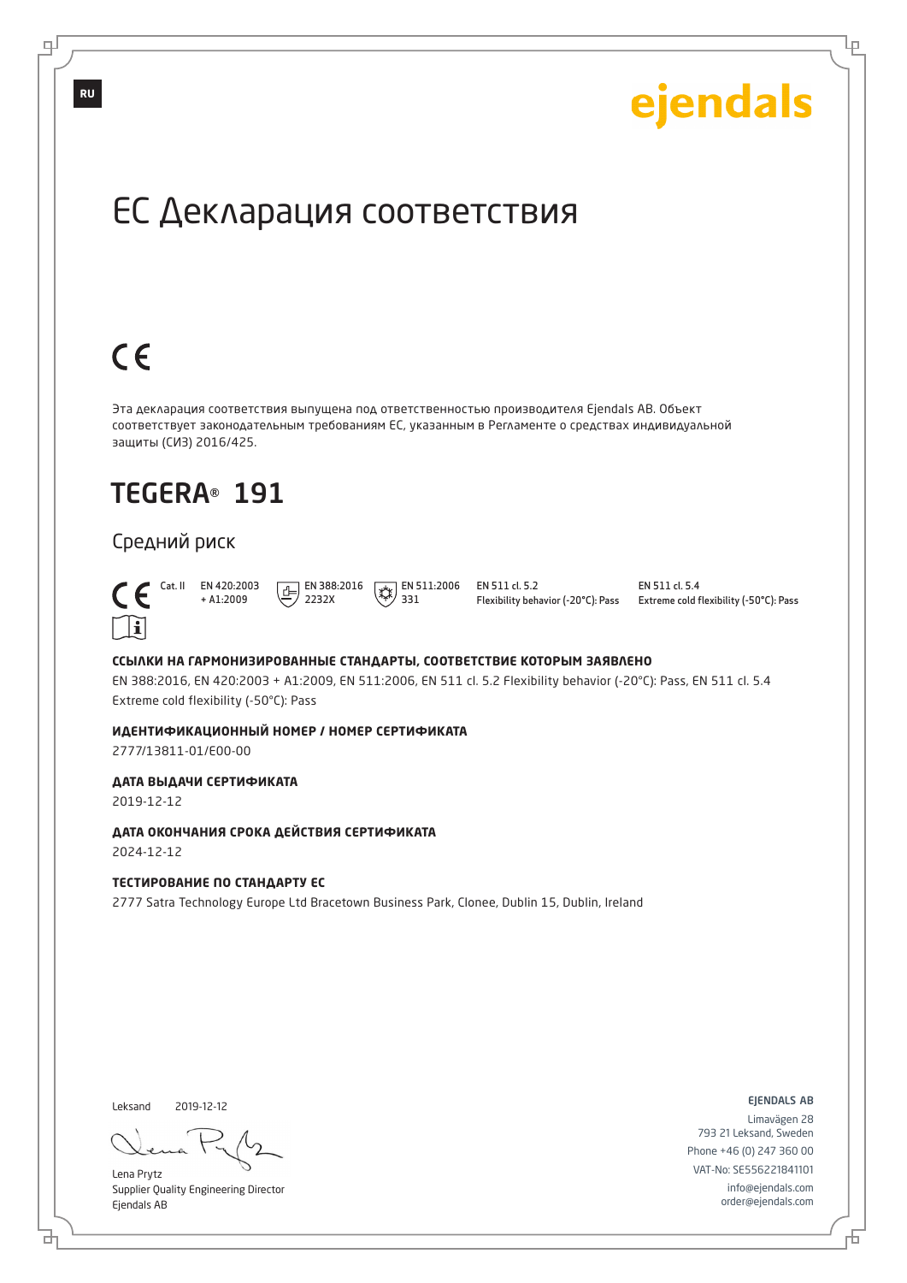Lр

# ЕС Декларация соответствия

# $C \in$

Эта декларация соответствия выпущена под ответственностью производителя Ejendals AB. Объект соответствует законодательным требованиям ЕС, указанным в Регламенте о средствах индивидуальной защиты (СИЗ) 2016/425.

## TEGERA® 191

#### Средний риск



 $\bigcap_{+ A1:2009}^{\text{Cat. II}}$  EN 420:2003 + A1:2009  $E$  EN 388:2016 2232X

 $\sqrt{\frac{1}{2}}$  EN 511:2006 EN 511 cl. 5.2 Flexibility behavior (-20°C): Pass

EN 511 cl. 5.4 Extreme cold flexibility (-50°C): Pass

#### **ССЫЛКИ НА ГАРМОНИЗИРОВАННЫЕ СТАНДАРТЫ, СООТВЕТСТВИЕ КОТОРЫМ ЗАЯВЛЕНО**

331

EN 388:2016, EN 420:2003 + A1:2009, EN 511:2006, EN 511 cl. 5.2 Flexibility behavior (-20°C): Pass, EN 511 cl. 5.4 Extreme cold flexibility (-50°C): Pass

#### **ИДЕНТИФИКАЦИОННЫЙ НОМЕР / НОМЕР СЕРТИФИКАТА**

2777/13811-01/E00-00

#### **ДАТА ВЫДАЧИ СЕРТИФИКАТА**

2019-12-12

#### **ДАТА ОКОНЧАНИЯ СРОКА ДЕЙСТВИЯ СЕРТИФИКАТА** 2024-12-12

#### **ТЕСТИРОВАНИЕ ПО СТАНДАРТУ ЕС**

2777 Satra Technology Europe Ltd Bracetown Business Park, Clonee, Dublin 15, Dublin, Ireland

Leksand 2019-12-12

브

Lena Prytz Supplier Quality Engineering Director Ejendals AB

ejendals ab

舌

Limavägen 28 793 21 Leksand, Sweden Phone +46 (0) 247 360 00 VAT-No: SE556221841101 info@ejendals.com order@ejendals.com

**RU**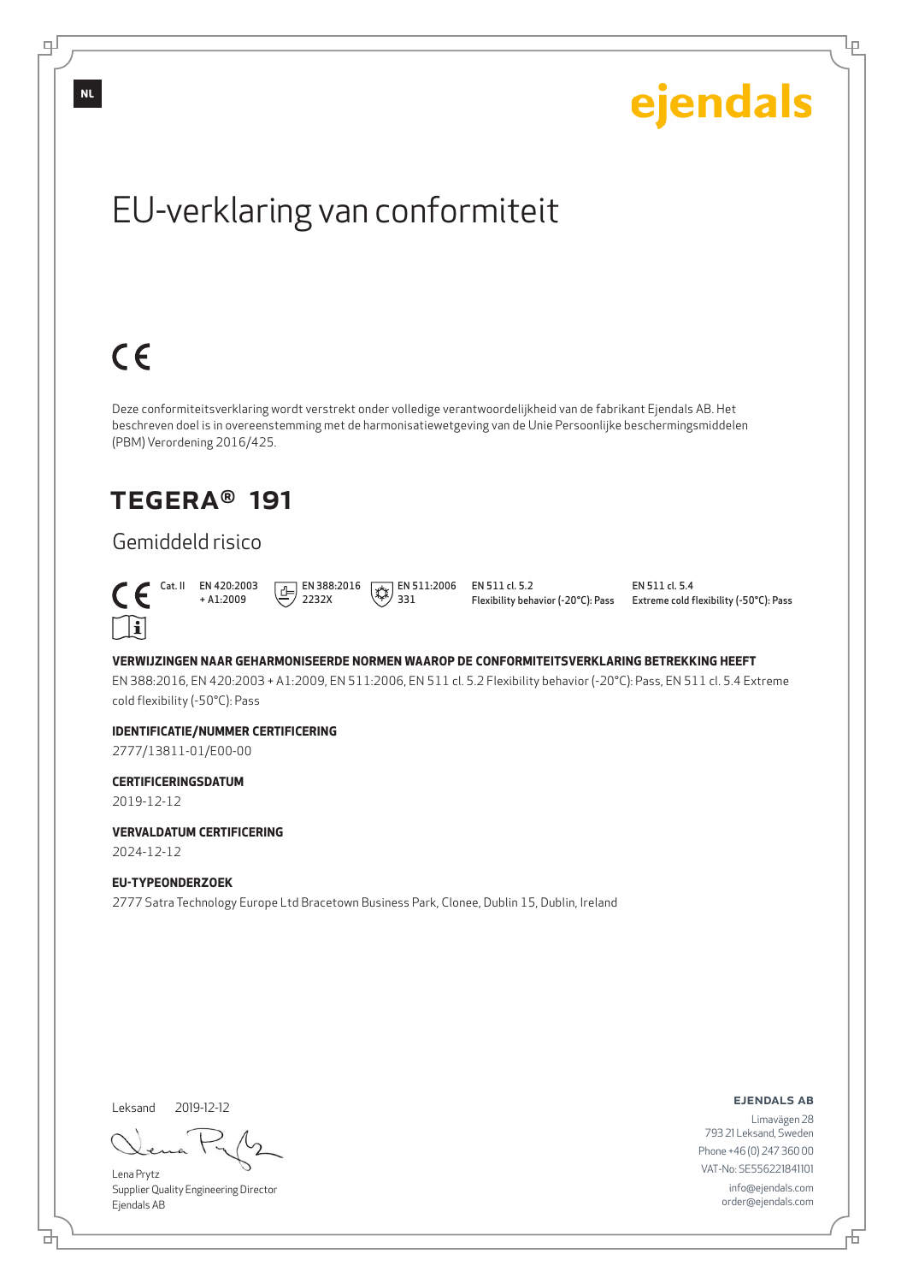

EN 511 cl. 5.4 Extreme cold flexibility (-50°C): Pass

ejendals

Ļμ

#### **VERWIJZINGEN NAAR GEHARMONISEERDE NORMEN WAAROP DE CONFORMITEITSVERKLARING BETREKKING HEEFT**

EN 388:2016, EN 420:2003 + A1:2009, EN 511:2006, EN 511 cl. 5.2 Flexibility behavior (-20°C): Pass, EN 511 cl. 5.4 Extreme cold flexibility (-50°C): Pass

#### **IDENTIFICATIE/NUMMER CERTIFICERING**

2777/13811-01/E00-00

#### **CERTIFICERINGSDATUM**

2019-12-12

**VERVALDATUM CERTIFICERING**

2024-12-12

#### **EU-TYPEONDERZOEK**

2777 Satra Technology Europe Ltd Bracetown Business Park, Clonee, Dublin 15, Dublin, Ireland

Leksand 2019-12-12

브

Lena Prytz Supplier Quality Engineering Director Ejendals AB

ejendals ab

Đ

Limavägen 28 793 21 Leksand, Sweden Phone +46 (0) 247 360 00 VAT-No: SE556221841101 info@ejendals.com order@ejendals.com

**NL**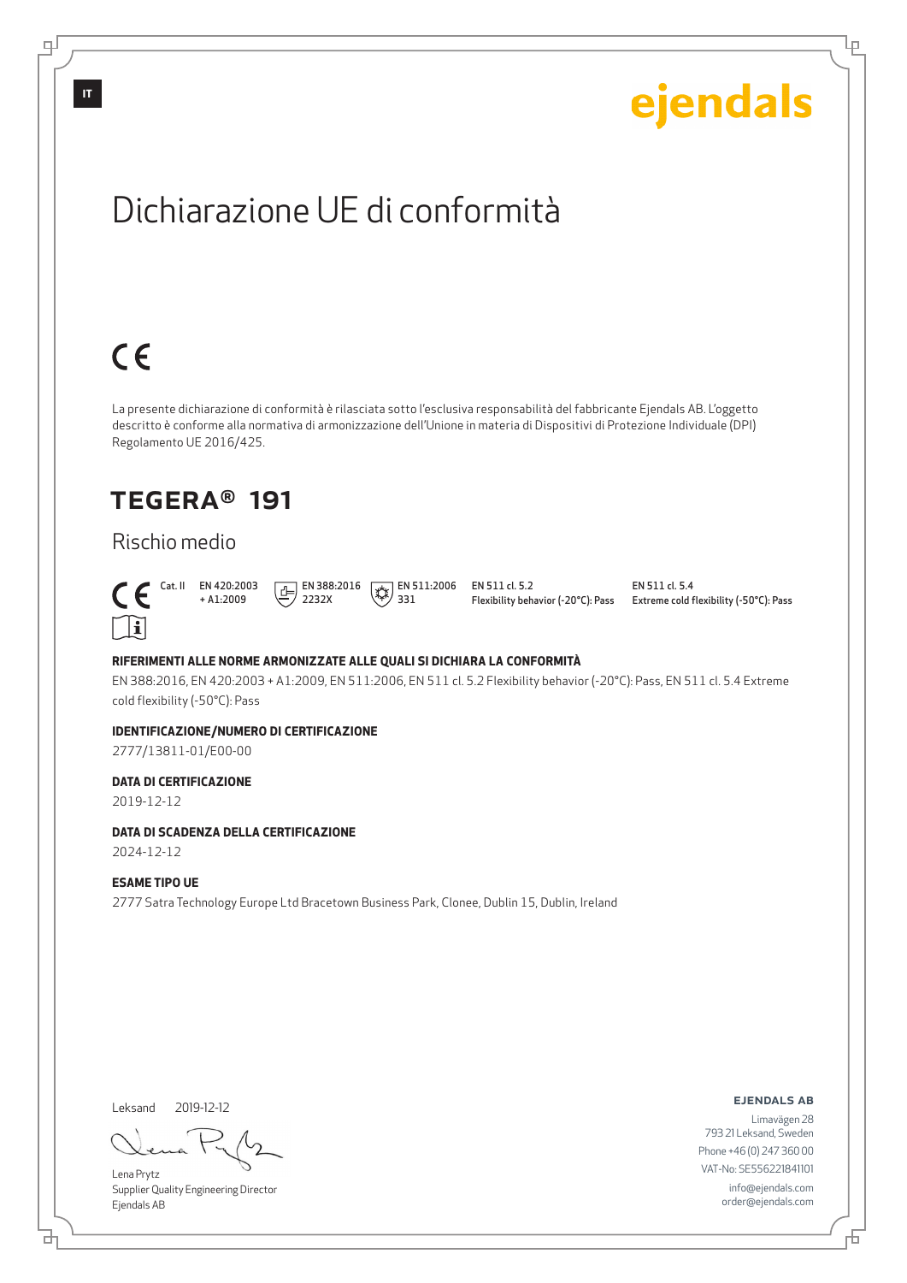

ejendals ab

Limavägen 28 793 21 Leksand, Sweden Phone +46 (0) 247 360 00 VAT-No: SE556221841101 info@ejendals.com order@ejendals.com

#### Leksand 2019-12-12

브

Lena Prytz Supplier Quality Engineering Director Ejendals AB

**IT**

டி

## TEGERA® 191

### Rischio medio



EN 511 cl. 5.4 Extreme cold flexibility (-50°C): Pass

ejendals

Ļμ

#### **RIFERIMENTI ALLE NORME ARMONIZZATE ALLE QUALI SI DICHIARA LA CONFORMITÀ**

EN 388:2016, EN 420:2003 + A1:2009, EN 511:2006, EN 511 cl. 5.2 Flexibility behavior (-20°C): Pass, EN 511 cl. 5.4 Extreme

#### **IDENTIFICAZIONE/NUMERO DI CERTIFICAZIONE**

2777/13811-01/E00-00

#### **DATA DI CERTIFICAZIONE**

2019-12-12

#### **DATA DI SCADENZA DELLA CERTIFICAZIONE**

2024-12-12

#### **ESAME TIPO UE**

2777 Satra Technology Europe Ltd Bracetown Business Park, Clonee, Dublin 15, Dublin, Ireland

Đ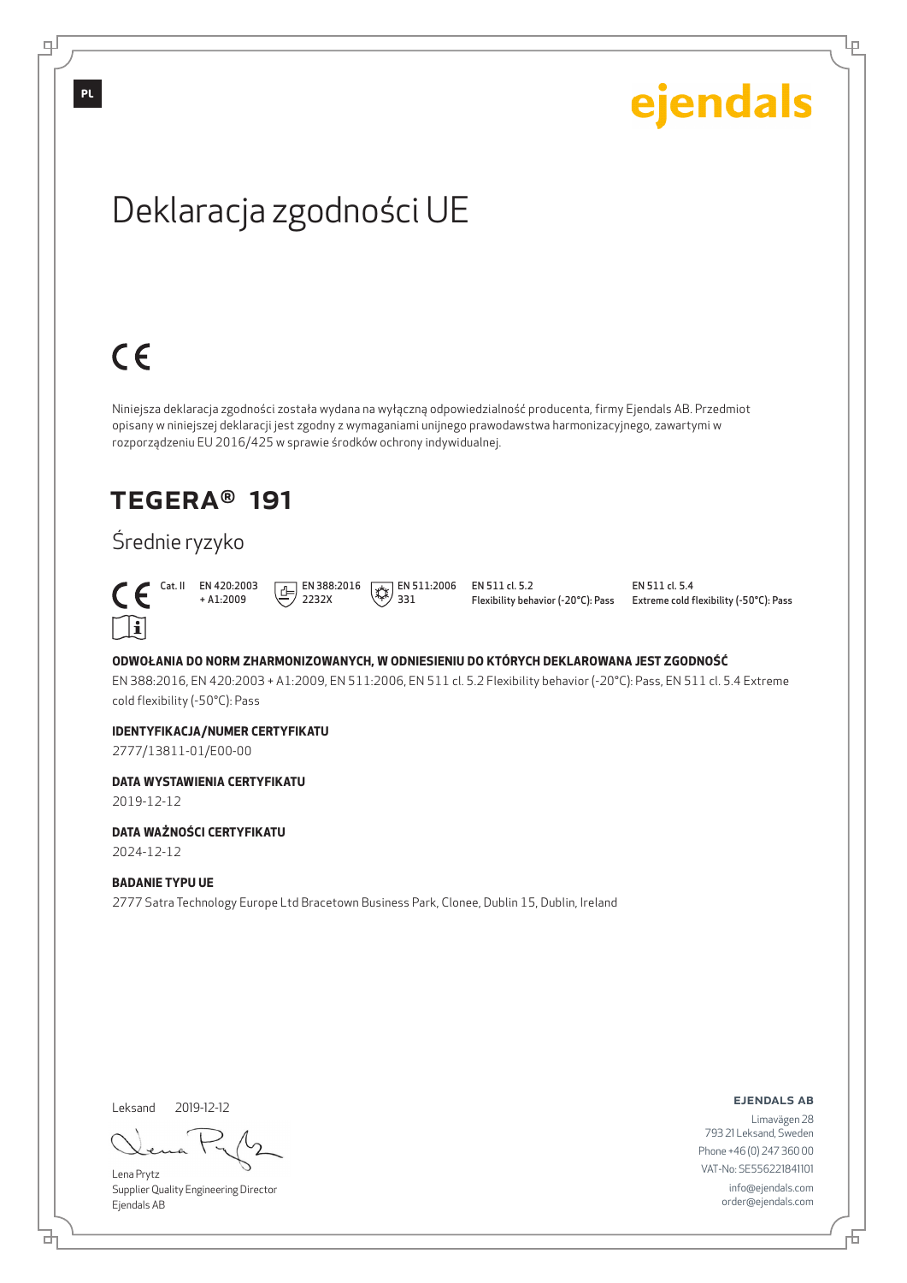டி

Lр

# Deklaracja zgodności UE

# $C \in$

Niniejsza deklaracja zgodności została wydana na wyłączną odpowiedzialność producenta, firmy Ejendals AB. Przedmiot opisany w niniejszej deklaracji jest zgodny z wymaganiami unijnego prawodawstwa harmonizacyjnego, zawartymi w rozporządzeniu EU 2016/425 w sprawie środków ochrony indywidualnej.

## TEGERA® 191

## Średnie ryzyko



 Cat. II EN 420:2003 + A1:2009  $\boxed{1}$  EN 388:2016 2232X

 $\left(\frac{1}{2}\right)$  EN 511:2006 331

EN 511 cl. 5.2 Flexibility behavior (-20°C): Pass EN 511 cl. 5.4 Extreme cold flexibility (-50°C): Pass

#### **ODWOŁANIA DO NORM ZHARMONIZOWANYCH, W ODNIESIENIU DO KTÓRYCH DEKLAROWANA JEST ZGODNOŚĆ**

EN 388:2016, EN 420:2003 + A1:2009, EN 511:2006, EN 511 cl. 5.2 Flexibility behavior (-20°C): Pass, EN 511 cl. 5.4 Extreme cold flexibility (-50°C): Pass

#### **IDENTYFIKACJA/NUMER CERTYFIKATU**

2777/13811-01/E00-00

#### **DATA WYSTAWIENIA CERTYFIKATU**

2019-12-12

#### **DATA WAŻNOŚCI CERTYFIKATU**

2024-12-12

#### **BADANIE TYPU UE**

2777 Satra Technology Europe Ltd Bracetown Business Park, Clonee, Dublin 15, Dublin, Ireland

Leksand 2019-12-12

Lena Prytz Supplier Quality Engineering Director Ejendals AB

#### ejendals ab

Limavägen 28 793 21 Leksand, Sweden Phone +46 (0) 247 360 00 VAT-No: SE556221841101 info@ejendals.com order@ejendals.com

브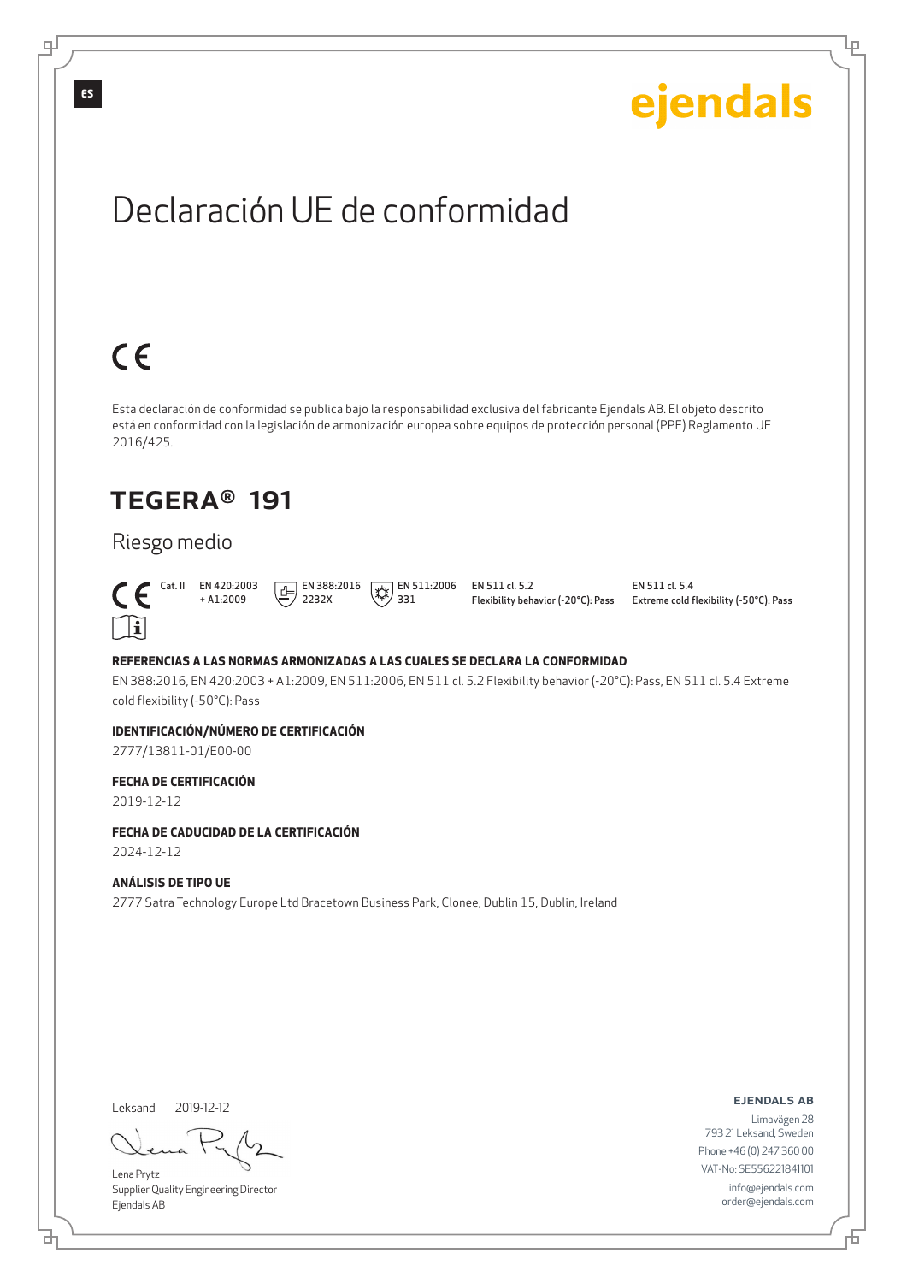Ļμ

# Declaración UE de conformidad

# $C \in$

Esta declaración de conformidad se publica bajo la responsabilidad exclusiva del fabricante Ejendals AB. El objeto descrito está en conformidad con la legislación de armonización europea sobre equipos de protección personal (PPE) Reglamento UE 2016/425.

## TEGERA® 191

## Riesgo medio



 Cat. II EN 420:2003 + A1:2009  $\boxed{E}$  EN 388:2016 2232X

 $\left(\frac{1}{2}\right)$  EN 511:2006 331

EN 511 cl. 5.2 Flexibility behavior (-20°C): Pass EN 511 cl. 5.4 Extreme cold flexibility (-50°C): Pass

#### **REFERENCIAS A LAS NORMAS ARMONIZADAS A LAS CUALES SE DECLARA LA CONFORMIDAD**

EN 388:2016, EN 420:2003 + A1:2009, EN 511:2006, EN 511 cl. 5.2 Flexibility behavior (-20°C): Pass, EN 511 cl. 5.4 Extreme cold flexibility (-50°C): Pass

#### **IDENTIFICACIÓN/NÚMERO DE CERTIFICACIÓN**

2777/13811-01/E00-00

#### **FECHA DE CERTIFICACIÓN**

2019-12-12

#### **FECHA DE CADUCIDAD DE LA CERTIFICACIÓN**

2024-12-12

#### **ANÁLISIS DE TIPO UE**

2777 Satra Technology Europe Ltd Bracetown Business Park, Clonee, Dublin 15, Dublin, Ireland

Leksand 2019-12-12

브

Lena Prytz Supplier Quality Engineering Director Ejendals AB

ejendals ab

Đ

Limavägen 28 793 21 Leksand, Sweden Phone +46 (0) 247 360 00 VAT-No: SE556221841101 info@ejendals.com order@ejendals.com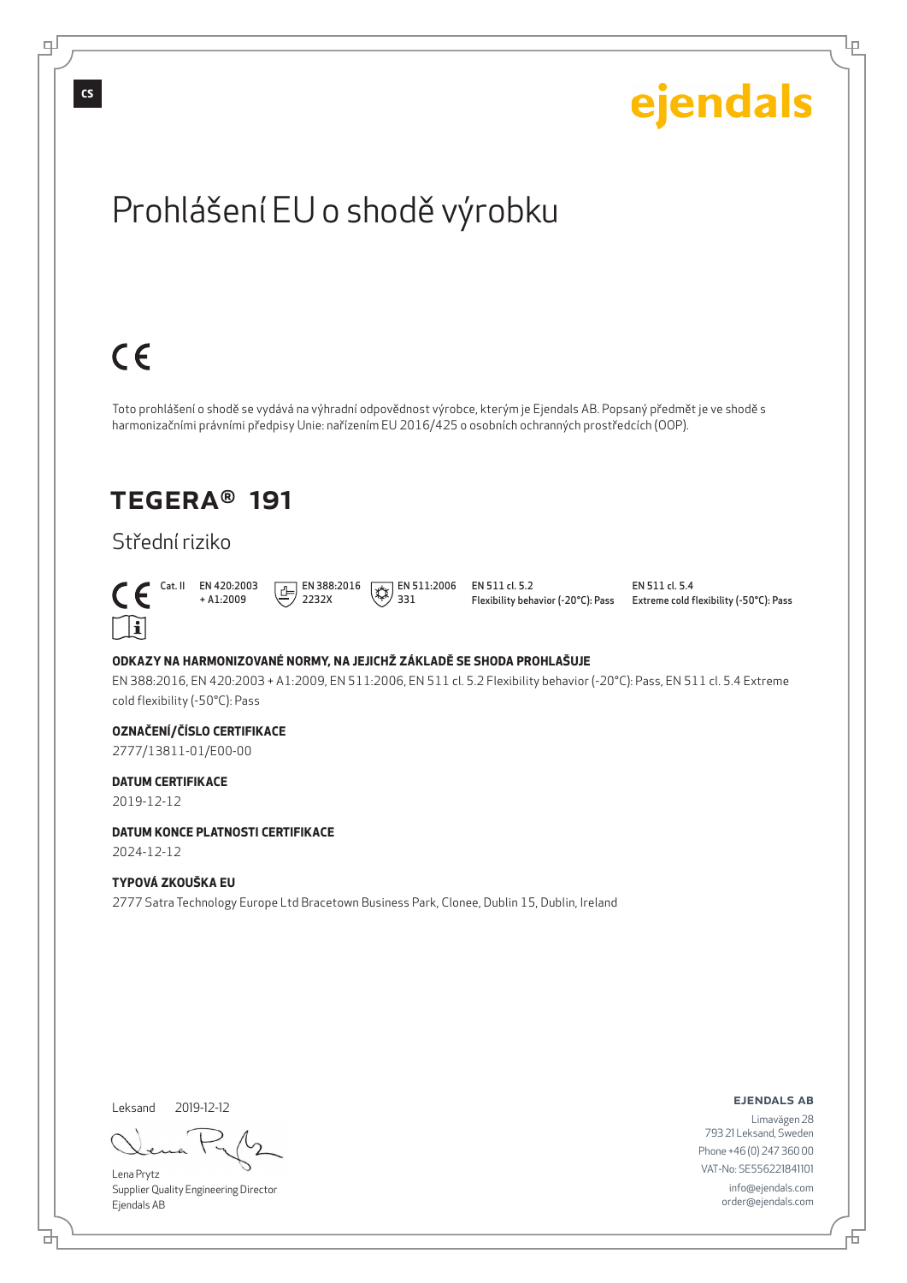

Prohlášení EU o shodě výrobku

2019-12-12

#### **DATUM KONCE PLATNOSTI CERTIFIKACE**

2024-12-12

#### **TYPOVÁ ZKOUŠKA EU**

2777 Satra Technology Europe Ltd Bracetown Business Park, Clonee, Dublin 15, Dublin, Ireland

Leksand 2019-12-12

브

Lena Prytz Supplier Quality Engineering Director Ejendals AB

ejendals ab

Đ

Limavägen 28 793 21 Leksand, Sweden Phone +46 (0) 247 360 00 VAT-No: SE556221841101 info@ejendals.com order@ejendals.com

# $C \in$

Toto prohlášení o shodě se vydává na výhradní odpovědnost výrobce, kterým je Ejendals AB. Popsaný předmět je ve shodě s harmonizačními právními předpisy Unie: nařízením EU 2016/425 o osobních ochranných prostředcích (OOP).

## TEGERA® 191

## Střední riziko

 $\cap$ il

 $\left(\frac{1}{2}\right)$  EN 511:2006 331

EN 511 cl. 5.2 Flexibility behavior (-20°C): Pass EN 511 cl. 5.4 Extreme cold flexibility (-50°C): Pass

ejendals

Ļμ

EN 388:2016, EN 420:2003 + A1:2009, EN 511:2006, EN 511 cl. 5.2 Flexibility behavior (-20°C): Pass, EN 511 cl. 5.4 Extreme cold flexibility (-50°C): Pass

#### **OZNAČENÍ/ČÍSLO CERTIFIKACE**

2777/13811-01/E00-00

#### **DATUM CERTIFIKACE**

டி

**CS**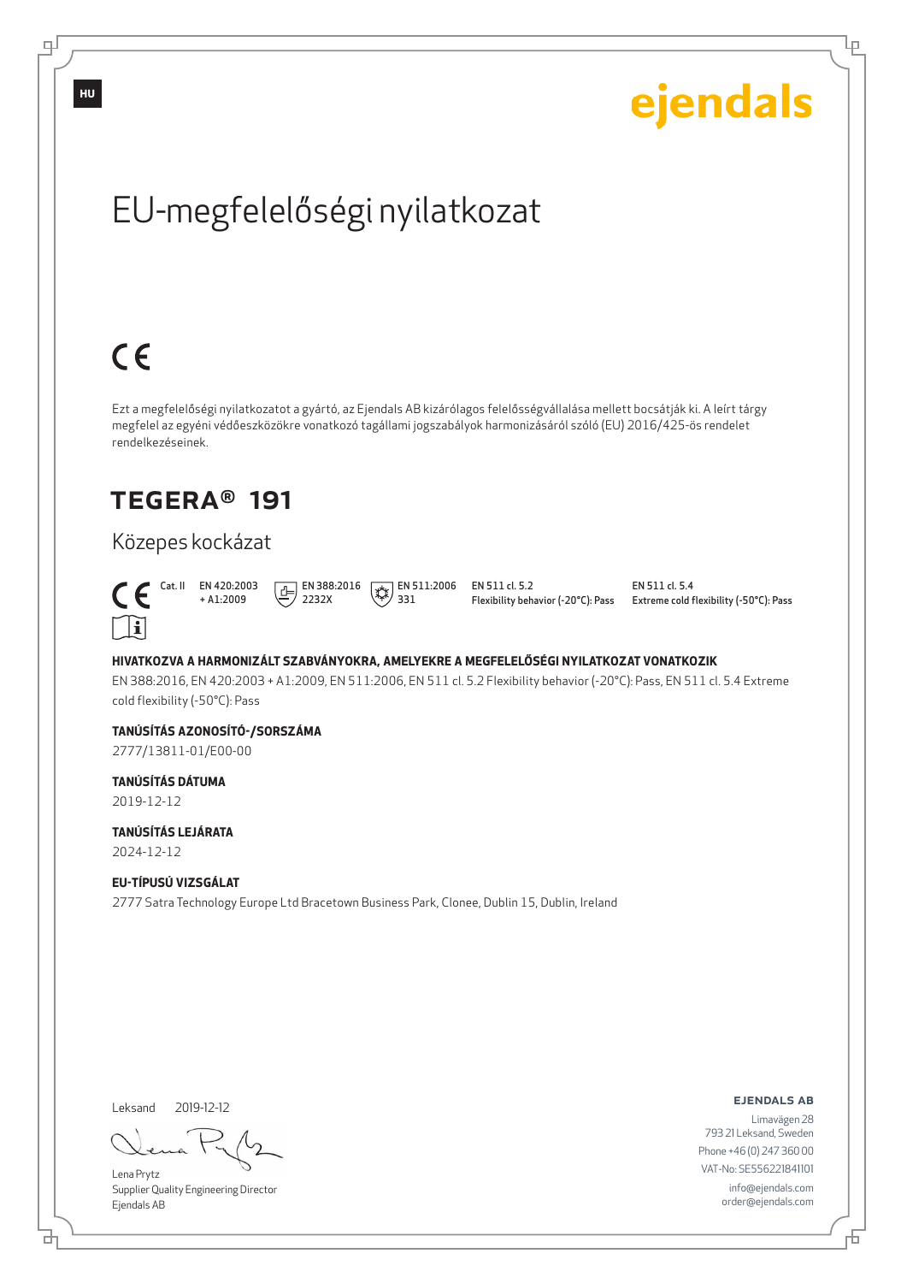

EU-megfelelőségi nyilatkozat

# Közepes kockázat



 $C \in$ 

 Cat. II EN 420:2003  $\boxed{E}$  EN 388:2016 2232X  $\left(\frac{1}{2}\right)$  EN 511:2006

EN 511 cl. 5.2 Flexibility behavior (-20°C): Pass EN 511 cl. 5.4 Extreme cold flexibility (-50°C): Pass

ejendals

#### **HIVATKOZVA A HARMONIZÁLT SZABVÁNYOKRA, AMELYEKRE A MEGFELELŐSÉGI NYILATKOZAT VONATKOZIK**

331

EN 388:2016, EN 420:2003 + A1:2009, EN 511:2006, EN 511 cl. 5.2 Flexibility behavior (-20°C): Pass, EN 511 cl. 5.4 Extreme cold flexibility (-50°C): Pass

#### **TANÚSÍTÁS AZONOSÍTÓ-/SORSZÁMA**

+ A1:2009

2777/13811-01/E00-00

## **TANÚSÍTÁS DÁTUMA**

2019-12-12

#### **TANÚSÍTÁS LEJÁRATA** 2024-12-12

#### **EU-TÍPUSÚ VIZSGÁLAT**

2777 Satra Technology Europe Ltd Bracetown Business Park, Clonee, Dublin 15, Dublin, Ireland

Leksand 2019-12-12

브

Lena Prytz Supplier Quality Engineering Director Ejendals AB

#### ejendals ab

Limavägen 28 793 21 Leksand, Sweden Phone +46 (0) 247 360 00 VAT-No: SE556221841101 info@ejendals.com order@ejendals.com

**HU**

டி

Ļμ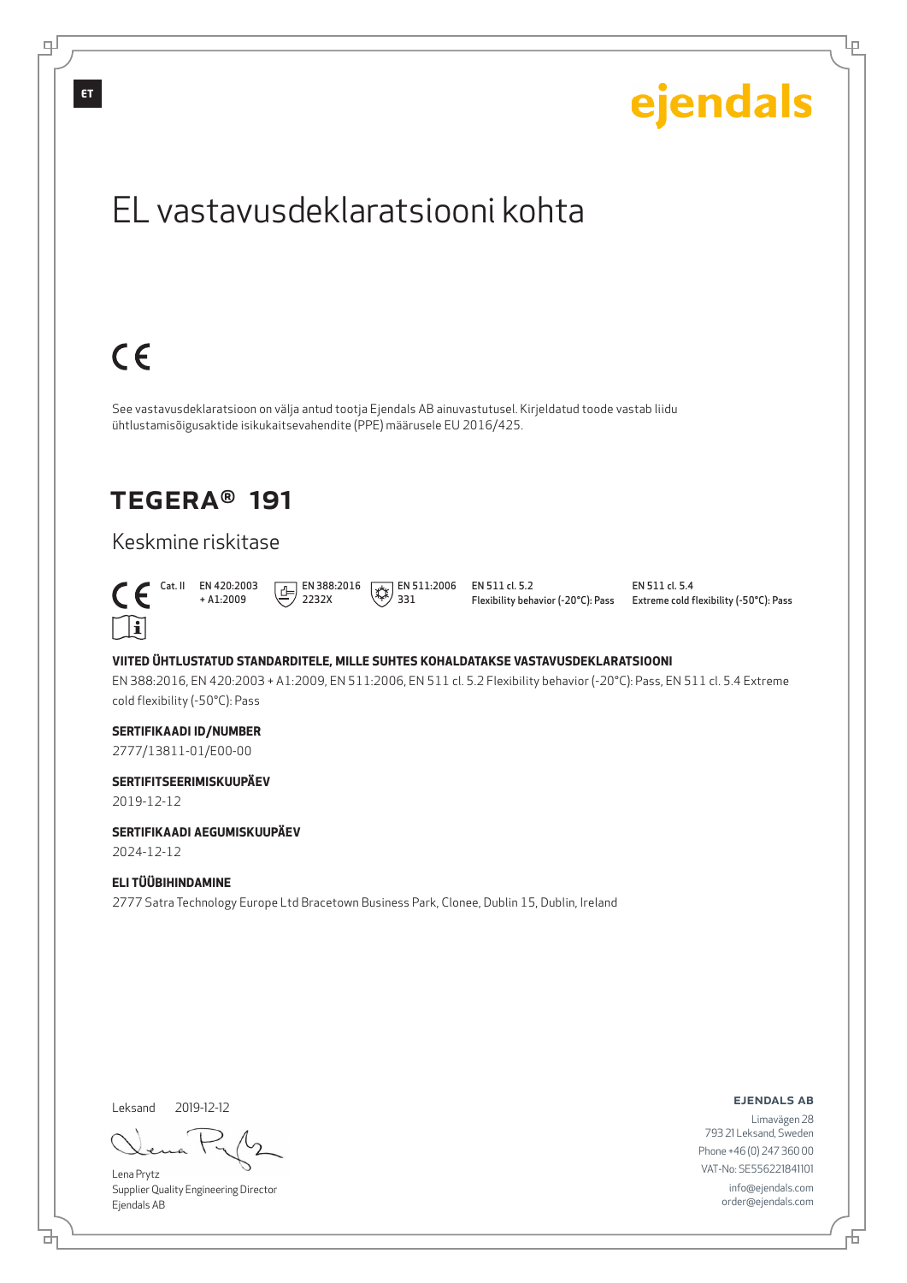

브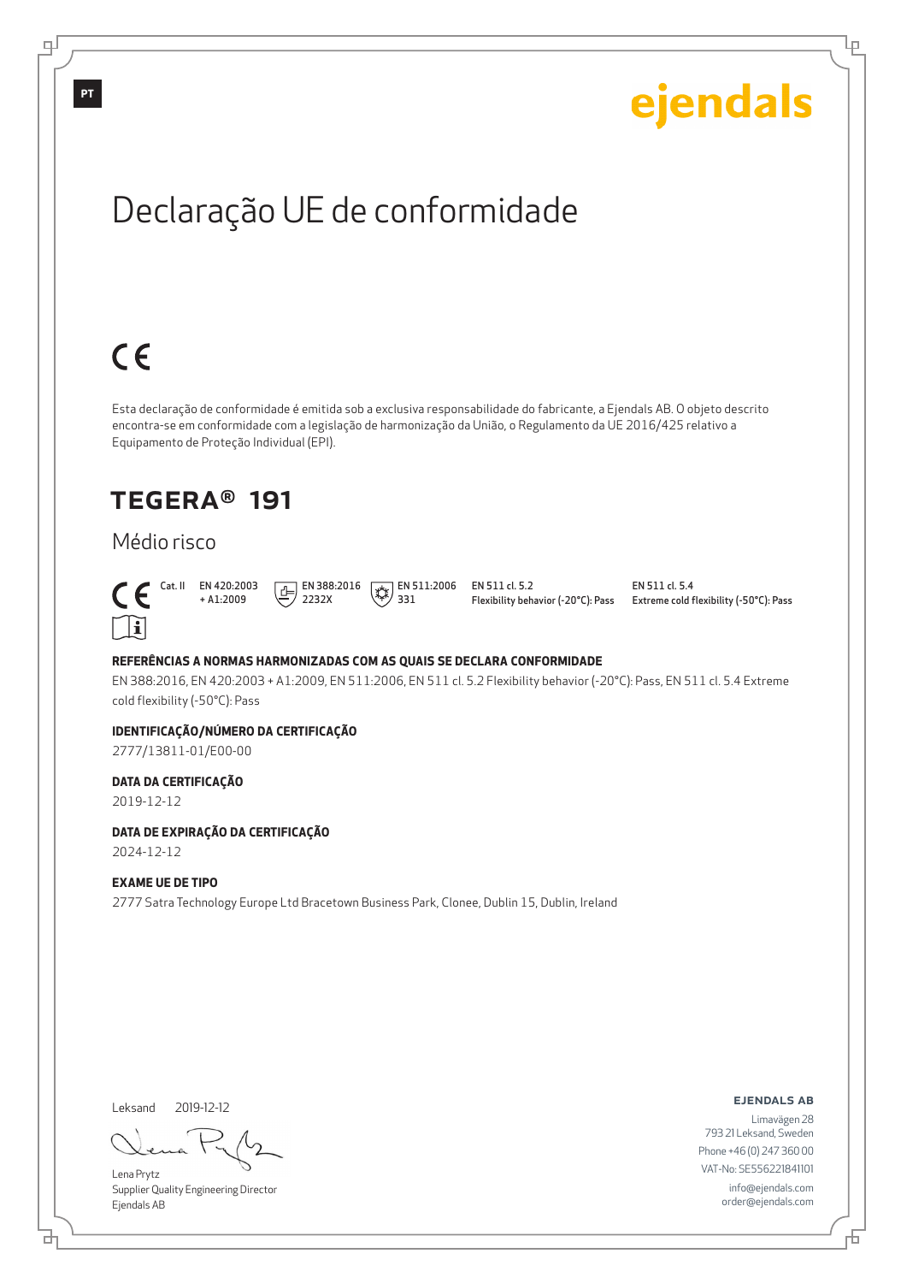# Declaração UE de conformidade

Esta declaração de conformidade é emitida sob a exclusiva responsabilidade do fabricante, a Ejendals AB. O objeto descrito encontra-se em conformidade com a legislação de harmonização da União, o Regulamento da UE 2016/425 relativo a Equipamento de Proteção Individual (EPI).

## TEGERA® 191

## Médio risco



 $C \in$ 

 Cat. II EN 420:2003 + A1:2009  $\boxed{E}$  EN 388:2016 2232X

 $\left(\frac{1}{2}\right)$  EN 511:2006 331

EN 511 cl. 5.2 Flexibility behavior (-20°C): Pass EN 511 cl. 5.4 Extreme cold flexibility (-50°C): Pass

ejendals

Ļμ

#### **REFERÊNCIAS A NORMAS HARMONIZADAS COM AS QUAIS SE DECLARA CONFORMIDADE**

EN 388:2016, EN 420:2003 + A1:2009, EN 511:2006, EN 511 cl. 5.2 Flexibility behavior (-20°C): Pass, EN 511 cl. 5.4 Extreme cold flexibility (-50°C): Pass

#### **IDENTIFICAÇÃO/NÚMERO DA CERTIFICAÇÃO**

2777/13811-01/E00-00

#### **DATA DA CERTIFICAÇÃO**

2019-12-12

## **DATA DE EXPIRAÇÃO DA CERTIFICAÇÃO**

2024-12-12

#### **EXAME UE DE TIPO**

2777 Satra Technology Europe Ltd Bracetown Business Park, Clonee, Dublin 15, Dublin, Ireland

Leksand 2019-12-12

브

Lena Prytz Supplier Quality Engineering Director Ejendals AB

ejendals ab

Б

Limavägen 28 793 21 Leksand, Sweden Phone +46 (0) 247 360 00 VAT-No: SE556221841101 info@ejendals.com order@ejendals.com

**PT**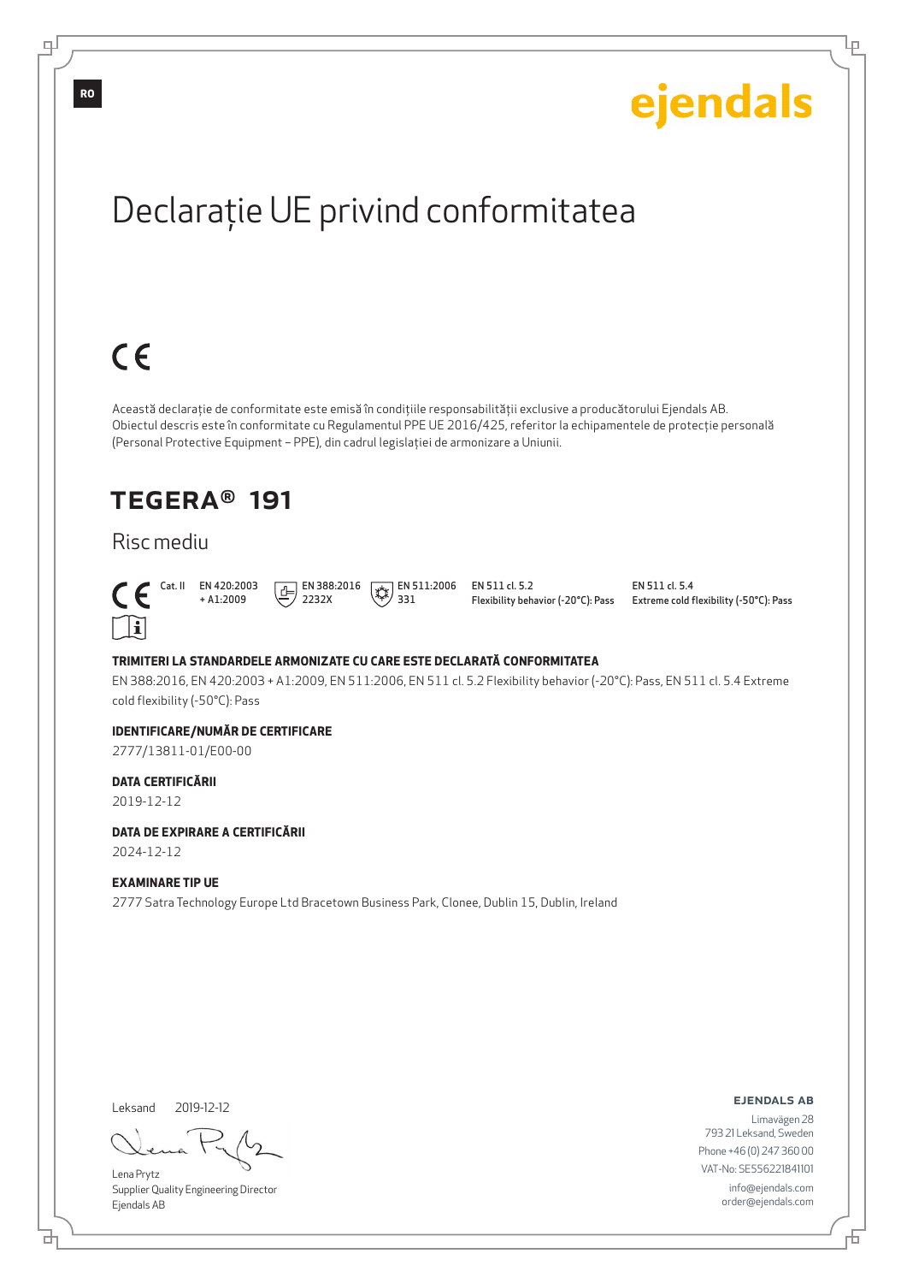Ļμ

# Declaraţie UE privind conformitatea

# $C \in$

Această declaraţie de conformitate este emisă în condiţiile responsabilităţii exclusive a producătorului Ejendals AB. Obiectul descris este în conformitate cu Regulamentul PPE UE 2016/425, referitor la echipamentele de protecţie personală (Personal Protective Equipment – PPE), din cadrul legislaţiei de armonizare a Uniunii.

## TEGERA® 191

## Risc mediu



 Cat. II EN 420:2003 + A1:2009  $\boxed{E}$  EN 388:2016 2232X

 $\left(\frac{1}{2}\right)$  EN 511:2006 331

EN 511 cl. 5.2 Flexibility behavior (-20°C): Pass EN 511 cl. 5.4 Extreme cold flexibility (-50°C): Pass

#### **TRIMITERI LA STANDARDELE ARMONIZATE CU CARE ESTE DECLARATĂ CONFORMITATEA**

EN 388:2016, EN 420:2003 + A1:2009, EN 511:2006, EN 511 cl. 5.2 Flexibility behavior (-20°C): Pass, EN 511 cl. 5.4 Extreme cold flexibility (-50°C): Pass

#### **IDENTIFICARE/NUMĂR DE CERTIFICARE**

2777/13811-01/E00-00

#### **DATA CERTIFICĂRII**

2019-12-12

#### **DATA DE EXPIRARE A CERTIFICĂRII**

2024-12-12

#### **EXAMINARE TIP UE**

2777 Satra Technology Europe Ltd Bracetown Business Park, Clonee, Dublin 15, Dublin, Ireland

Leksand 2019-12-12

브

Lena Prytz Supplier Quality Engineering Director Ejendals AB

ejendals ab

F

Limavägen 28 793 21 Leksand, Sweden Phone +46 (0) 247 360 00 VAT-No: SE556221841101 info@ejendals.com order@ejendals.com

**RO**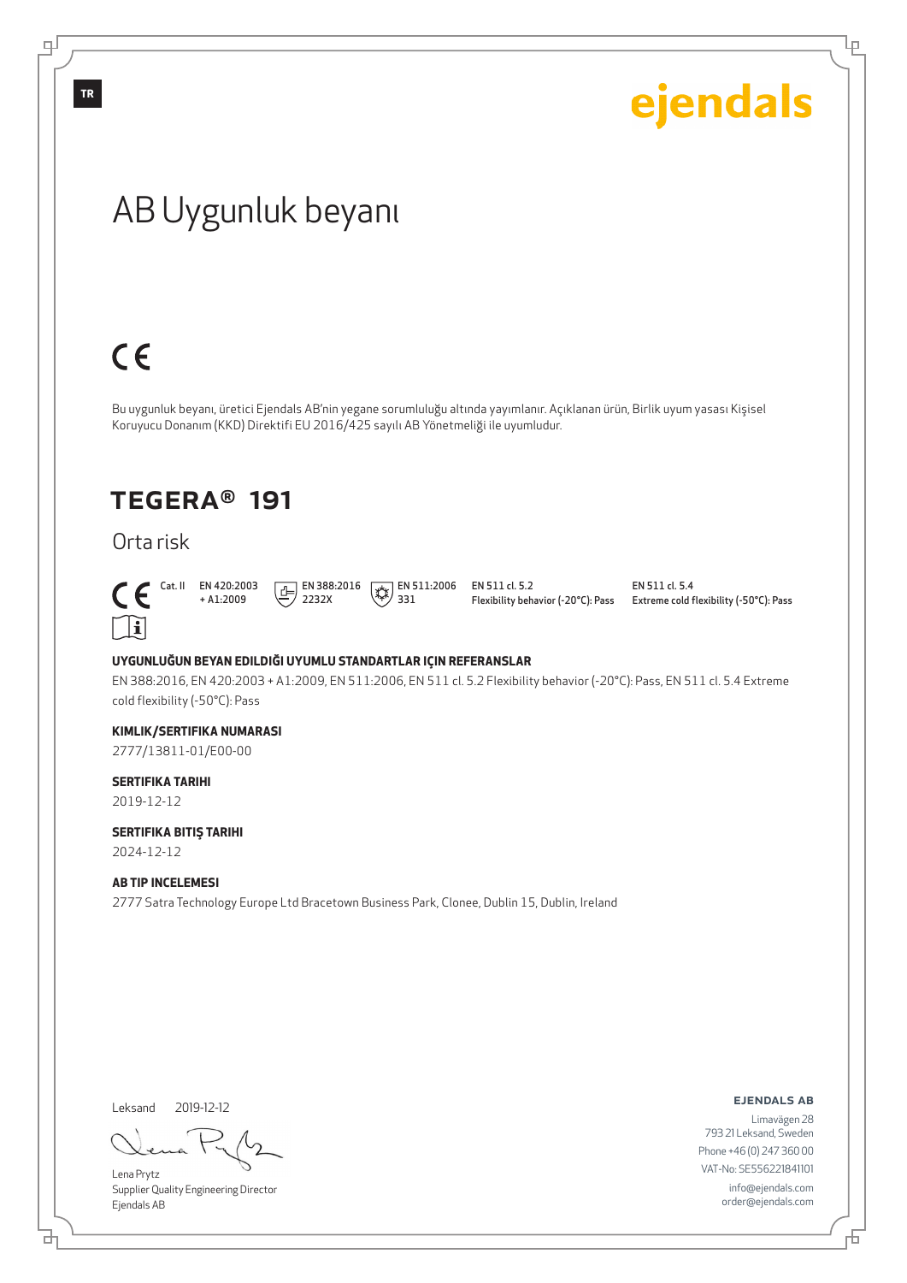Ļμ

# AB Uygunluk beyanı

# $C \in$

Bu uygunluk beyanı, üretici Ejendals AB'nin yegane sorumluluğu altında yayımlanır. Açıklanan ürün, Birlik uyum yasası Kişisel Koruyucu Donanım (KKD) Direktifi EU 2016/425 sayılı AB Yönetmeliği ile uyumludur.

## TEGERA® 191

## Orta risk



+ A1:2009  $\boxed{1}$  EN 388:2016 2232X

 $\sqrt{\frac{1}{2}}$  EN 511:2006 331

EN 511 cl. 5.2 Flexibility behavior (-20°C): Pass

EN 511 cl. 5.4 Extreme cold flexibility (-50°C): Pass

#### **UYGUNLUĞUN BEYAN EDILDIĞI UYUMLU STANDARTLAR IÇIN REFERANSLAR**

EN 388:2016, EN 420:2003 + A1:2009, EN 511:2006, EN 511 cl. 5.2 Flexibility behavior (-20°C): Pass, EN 511 cl. 5.4 Extreme cold flexibility (-50°C): Pass

#### **KIMLIK/SERTIFIKA NUMARASI**

2777/13811-01/E00-00

#### **SERTIFIKA TARIHI**

2019-12-12

#### **SERTIFIKA BITIŞ TARIHI**

2024-12-12

#### **AB TIP INCELEMESI**

2777 Satra Technology Europe Ltd Bracetown Business Park, Clonee, Dublin 15, Dublin, Ireland

Leksand 2019-12-12

Lena Prytz Supplier Quality Engineering Director Ejendals AB

#### ejendals ab

Limavägen 28 793 21 Leksand, Sweden Phone +46 (0) 247 360 00 VAT-No: SE556221841101 info@ejendals.com order@ejendals.com

டி

**TR**

<u>다</u>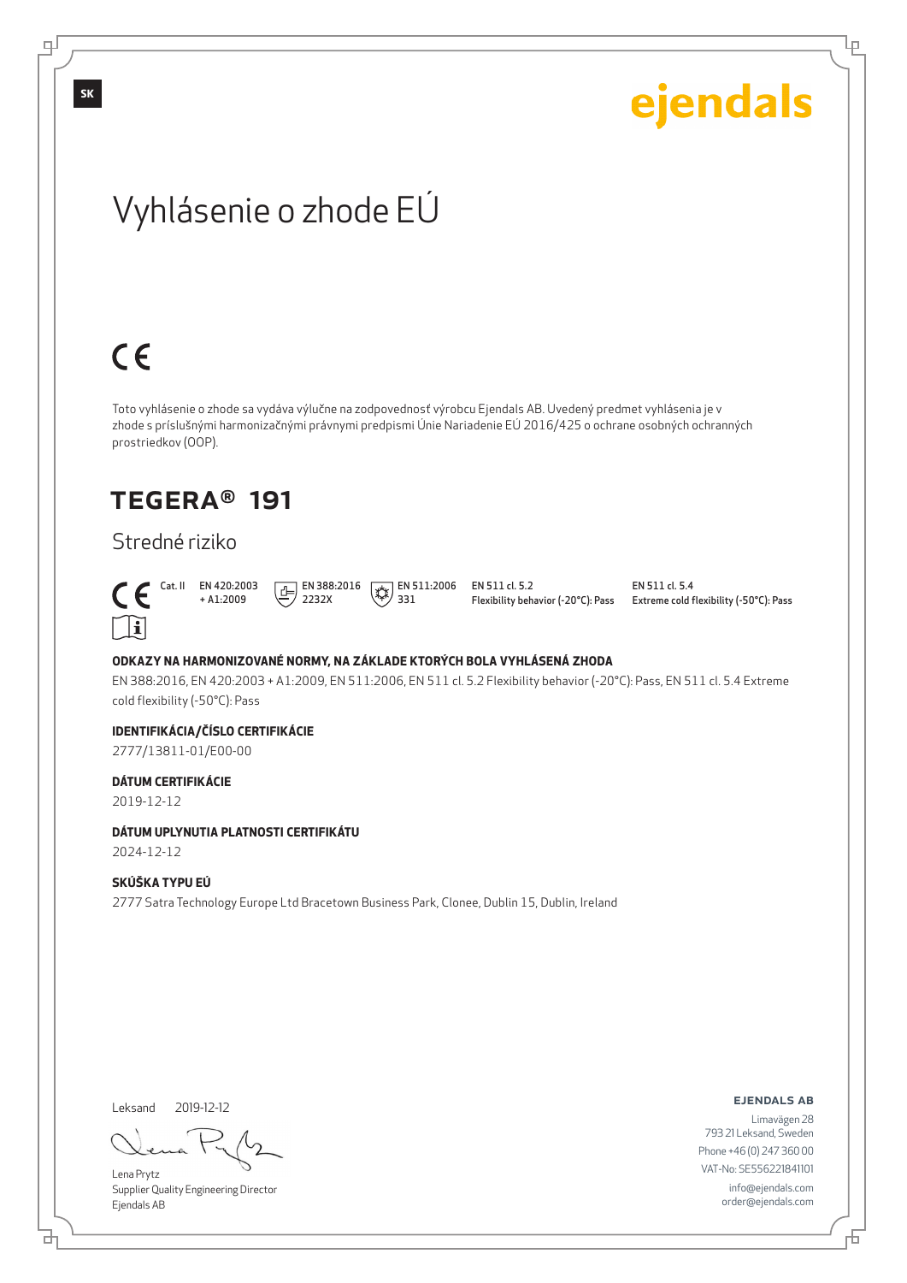Ļμ

# Vyhlásenie o zhode EÚ

# $C \in$

Toto vyhlásenie o zhode sa vydáva výlučne na zodpovednosť výrobcu Ejendals AB. Uvedený predmet vyhlásenia je v zhode s príslušnými harmonizačnými právnymi predpismi Únie Nariadenie EÚ 2016/425 o ochrane osobných ochranných prostriedkov (OOP).

## TEGERA® 191

## Stredné riziko



 Cat. II EN 420:2003 + A1:2009  $\boxed{E}$  EN 388:2016 2232X

 $\left(\frac{1}{2}\right)$  EN 511:2006 331

EN 511 cl. 5.2 Flexibility behavior (-20°C): Pass EN 511 cl. 5.4 Extreme cold flexibility (-50°C): Pass

#### **ODKAZY NA HARMONIZOVANÉ NORMY, NA ZÁKLADE KTORÝCH BOLA VYHLÁSENÁ ZHODA**

EN 388:2016, EN 420:2003 + A1:2009, EN 511:2006, EN 511 cl. 5.2 Flexibility behavior (-20°C): Pass, EN 511 cl. 5.4 Extreme cold flexibility (-50°C): Pass

#### **IDENTIFIKÁCIA/ČÍSLO CERTIFIKÁCIE**

2777/13811-01/E00-00

#### **DÁTUM CERTIFIKÁCIE**

2019-12-12

#### **DÁTUM UPLYNUTIA PLATNOSTI CERTIFIKÁTU**

2024-12-12

#### **SKÚŠKA TYPU EÚ**

2777 Satra Technology Europe Ltd Bracetown Business Park, Clonee, Dublin 15, Dublin, Ireland

Leksand 2019-12-12

Lena Prytz Supplier Quality Engineering Director Ejendals AB

#### ejendals ab

Đ

Limavägen 28 793 21 Leksand, Sweden Phone +46 (0) 247 360 00 VAT-No: SE556221841101 info@ejendals.com order@ejendals.com

டி

**SK**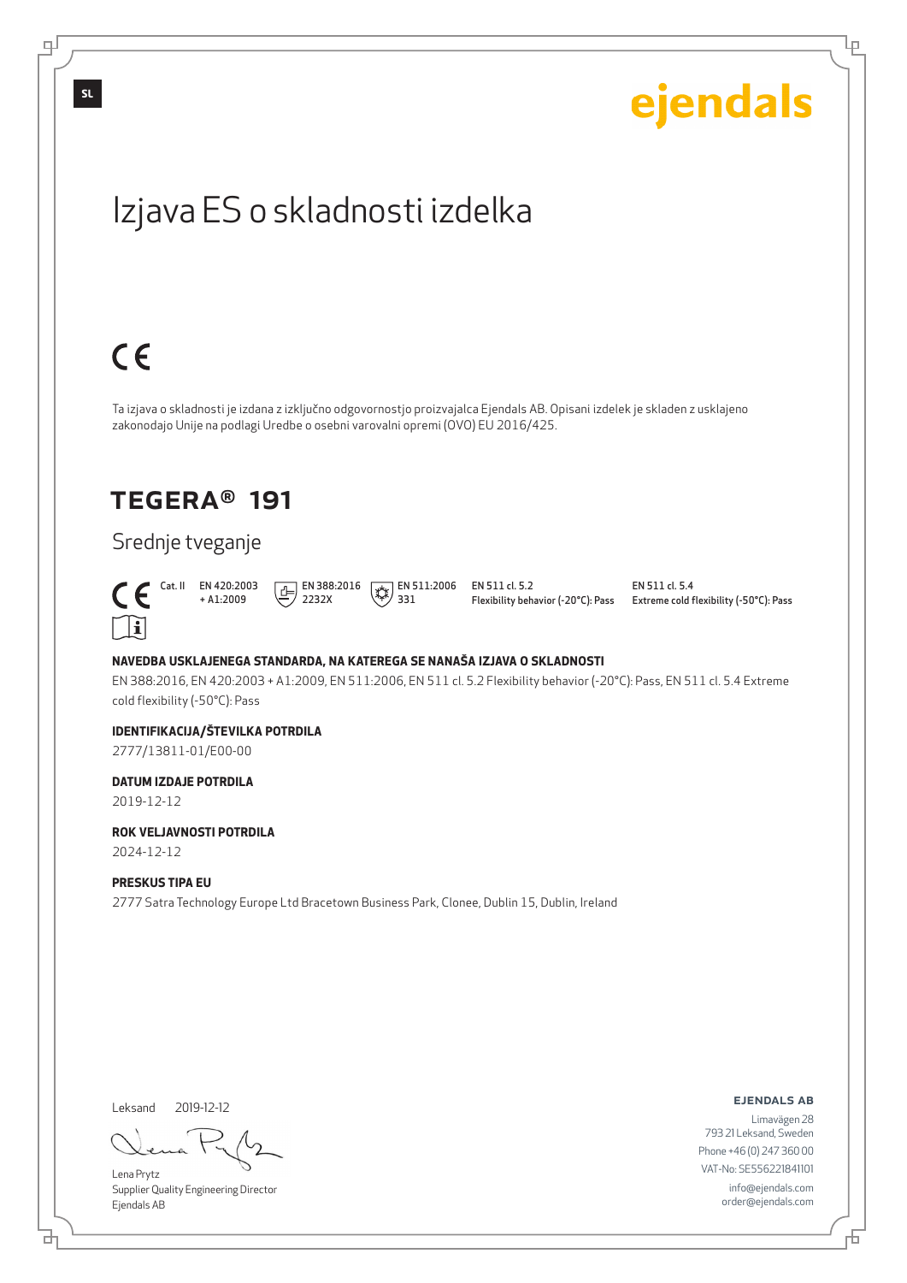

Leksand 2019-12-12

브

டி

Lena Prytz Supplier Quality Engineering Director Ejendals AB

ejendals ab

Đ

Ļμ

Limavägen 28 793 21 Leksand, Sweden Phone +46 (0) 247 360 00 VAT-No: SE556221841101 info@ejendals.com order@ejendals.com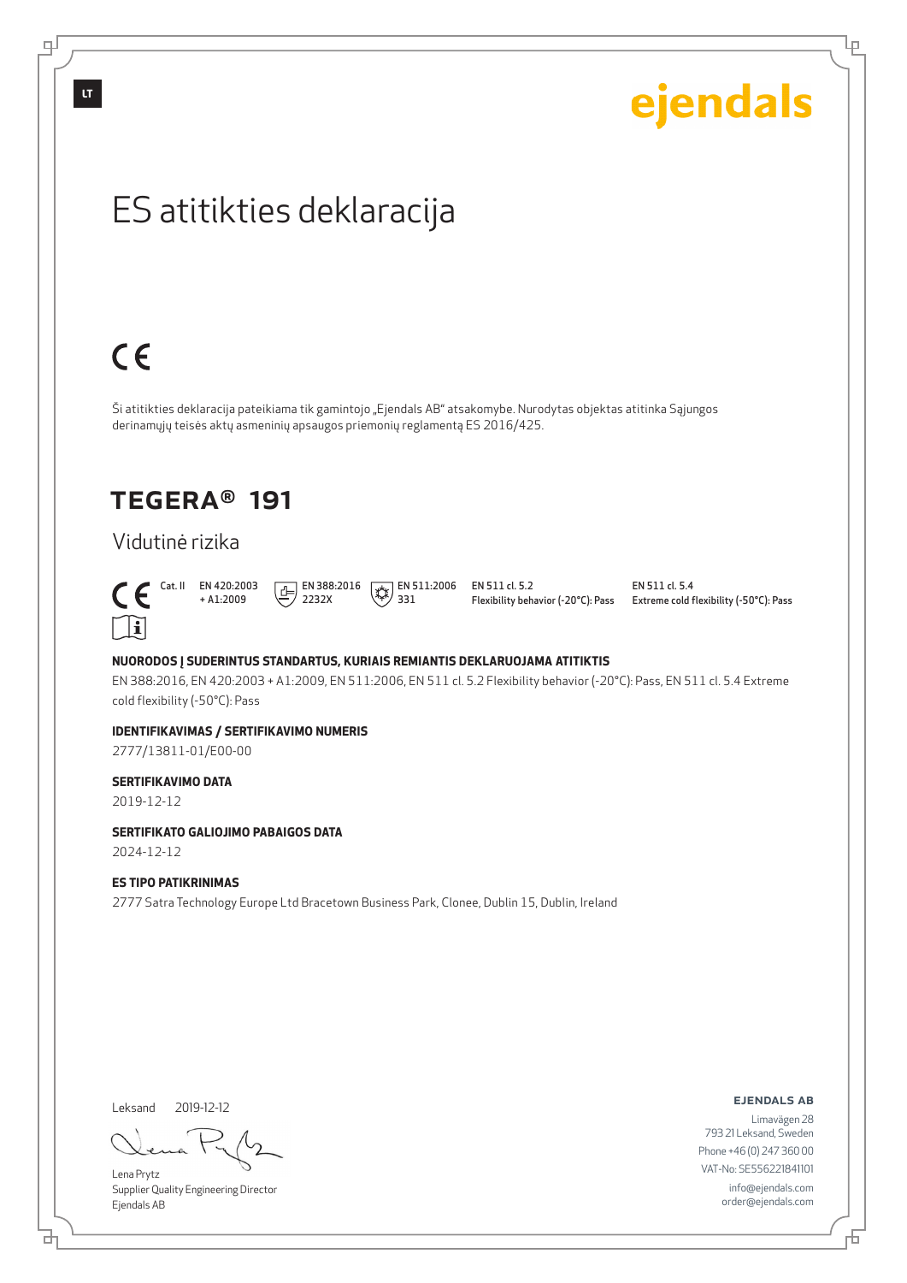டி

ejendals

Ļμ

# ES atitikties deklaracija

# $C \in$

Ši atitikties deklaracija pateikiama tik gamintojo "Ejendals AB" atsakomybe. Nurodytas objektas atitinka Sąjungos derinamųjų teisės aktų asmeninių apsaugos priemonių reglamentą ES 2016/425.

## TEGERA® 191

## Vidutinė rizika



+ A1:2009  $\boxed{1}$  EN 388:2016 2232X

 $\left(\frac{1}{2}\right)$  EN 511:2006 331

EN 511 cl. 5.2 Flexibility behavior (-20°C): Pass EN 511 cl. 5.4 Extreme cold flexibility (-50°C): Pass

#### **NUORODOS Į SUDERINTUS STANDARTUS, KURIAIS REMIANTIS DEKLARUOJAMA ATITIKTIS**

EN 388:2016, EN 420:2003 + A1:2009, EN 511:2006, EN 511 cl. 5.2 Flexibility behavior (-20°C): Pass, EN 511 cl. 5.4 Extreme cold flexibility (-50°C): Pass

#### **IDENTIFIKAVIMAS / SERTIFIKAVIMO NUMERIS**

2777/13811-01/E00-00

#### **SERTIFIKAVIMO DATA**

2019-12-12

#### **SERTIFIKATO GALIOJIMO PABAIGOS DATA**

2024-12-12

#### **ES TIPO PATIKRINIMAS**

2777 Satra Technology Europe Ltd Bracetown Business Park, Clonee, Dublin 15, Dublin, Ireland

Leksand 2019-12-12

Lena Prytz Supplier Quality Engineering Director Ejendals AB

ejendals ab

Đ

Limavägen 28 793 21 Leksand, Sweden Phone +46 (0) 247 360 00 VAT-No: SE556221841101 info@ejendals.com order@ejendals.com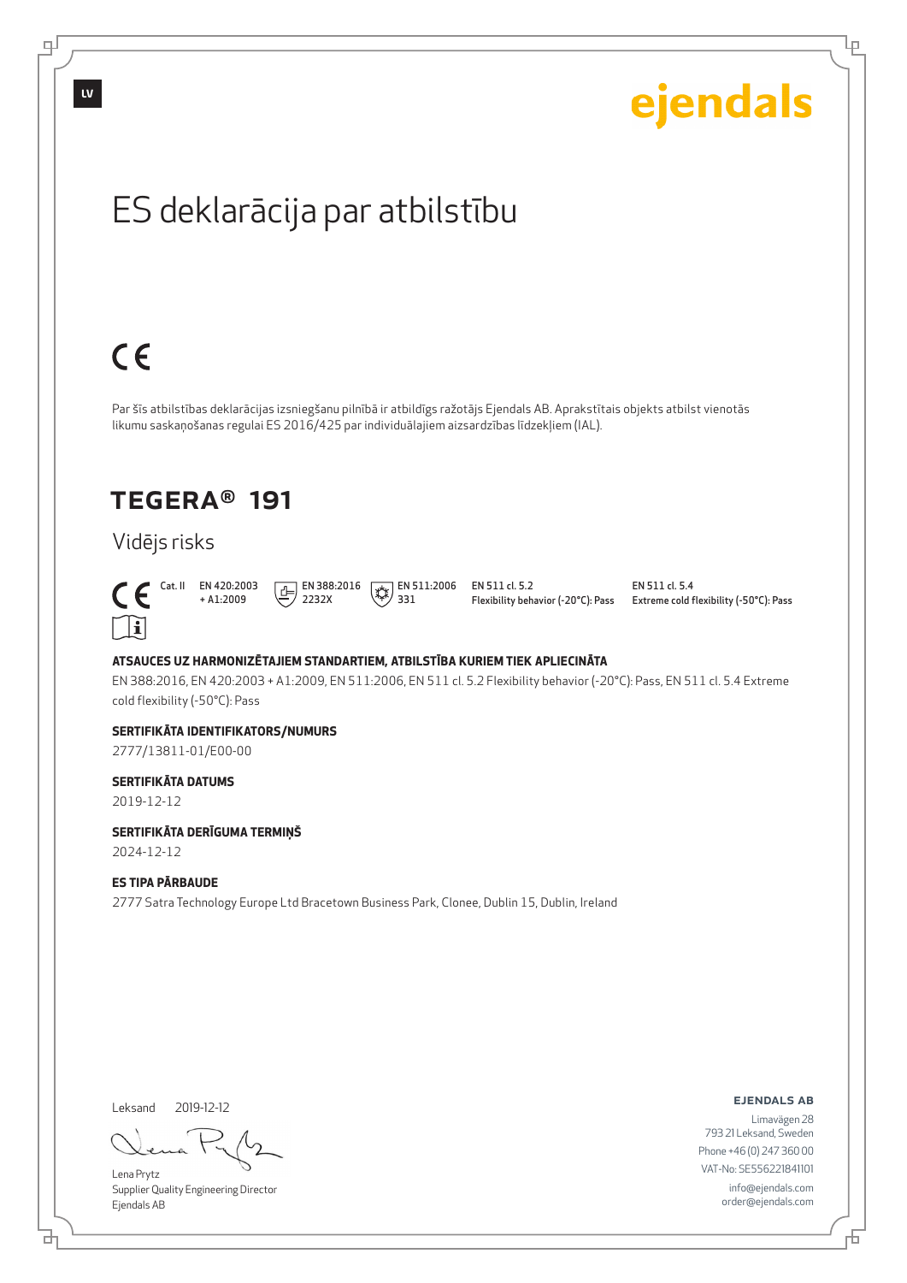

Leksand 2019-12-12

브

டி

Lena Prytz Supplier Quality Engineering Director Ejendals AB

ejendals ab

Limavägen 28 793 21 Leksand, Sweden Phone +46 (0) 247 360 00 VAT-No: SE556221841101 info@ejendals.com order@ejendals.com

F

Ļμ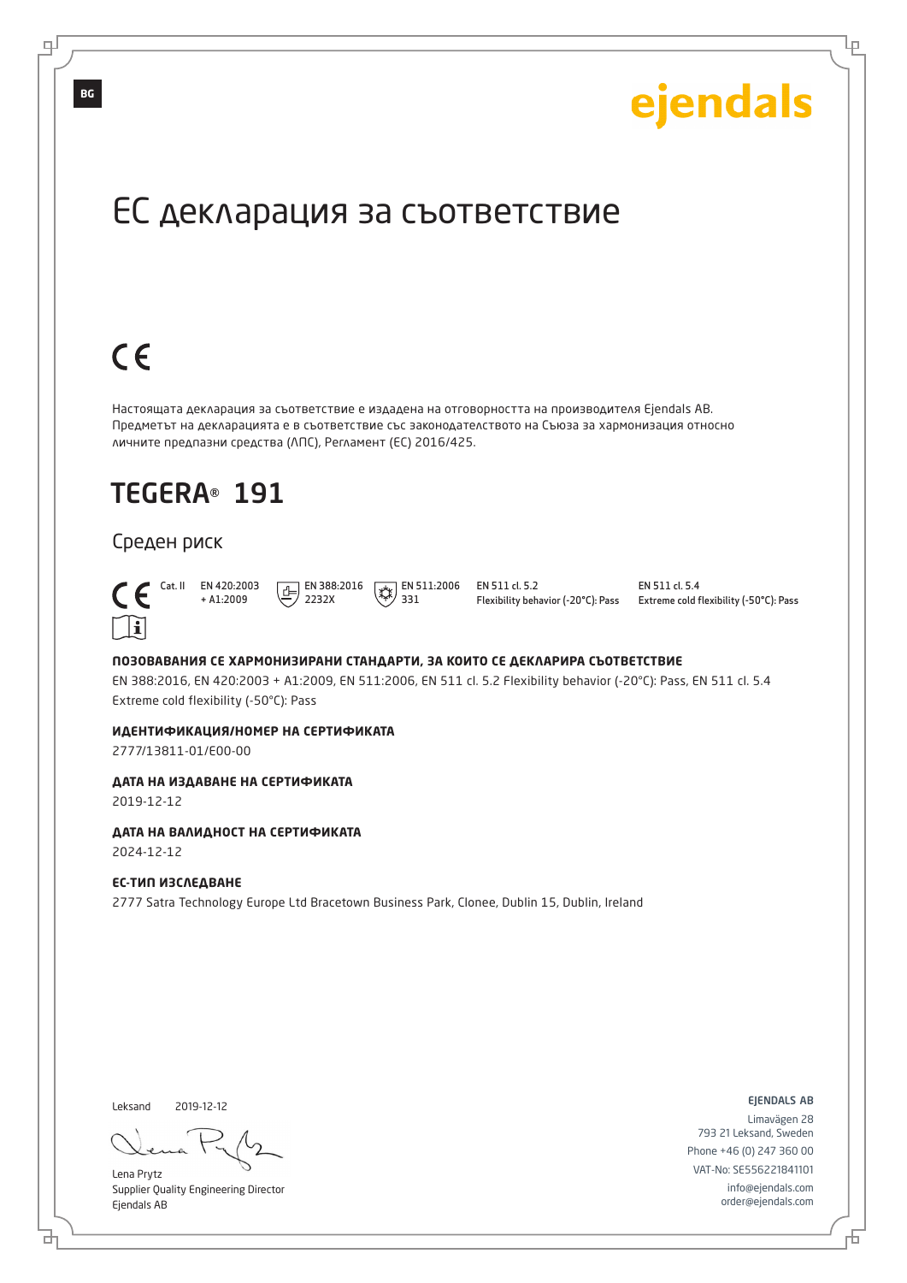Lр

# ЕС декларация за съответствие

# $C \in$

Настоящата декларация за съответствие е издадена на отговорността на производителя Ejendals AB. Предметът на декларацията е в съответствие със законодателството на Съюза за хармонизация относно личните предпазни средства (ЛПС), Регламент (ЕС) 2016/425.

# TEGERA® 191

#### Среден риск



 Cat. II EN 420:2003 + A1:2009  $E$  EN 388:2016 2232X

 $\sqrt{\frac{1}{2}}$  EN 511:2006 331

EN 511 cl. 5.2 Flexibility behavior (-20°C): Pass EN 511 cl. 5.4 Extreme cold flexibility (-50°C): Pass

#### **ПОЗОВАВАНИЯ СЕ ХАРМОНИЗИРАНИ СТАНДАРТИ, ЗА КОИТО СЕ ДЕКЛАРИРА СЪОТВЕТСТВИЕ**

EN 388:2016, EN 420:2003 + A1:2009, EN 511:2006, EN 511 cl. 5.2 Flexibility behavior (-20°C): Pass, EN 511 cl. 5.4 Extreme cold flexibility (-50°C): Pass

#### **ИДЕНТИФИКАЦИЯ/НОМЕР НА СЕРТИФИКАТА**

2777/13811-01/E00-00

#### **ДАТА НА ИЗДАВАНЕ НА СЕРТИФИКАТА**

2019-12-12

#### **ДАТА НА ВАЛИДНОСТ НА СЕРТИФИКАТА**

2024-12-12

#### **ЕС-ТИП ИЗСЛЕДВАНЕ**

2777 Satra Technology Europe Ltd Bracetown Business Park, Clonee, Dublin 15, Dublin, Ireland

Leksand 2019-12-12

브

Lena Prytz Supplier Quality Engineering Director Ejendals AB

ejendals ab

舌

Limavägen 28 793 21 Leksand, Sweden Phone +46 (0) 247 360 00 VAT-No: SE556221841101 info@ejendals.com order@ejendals.com

**BG**